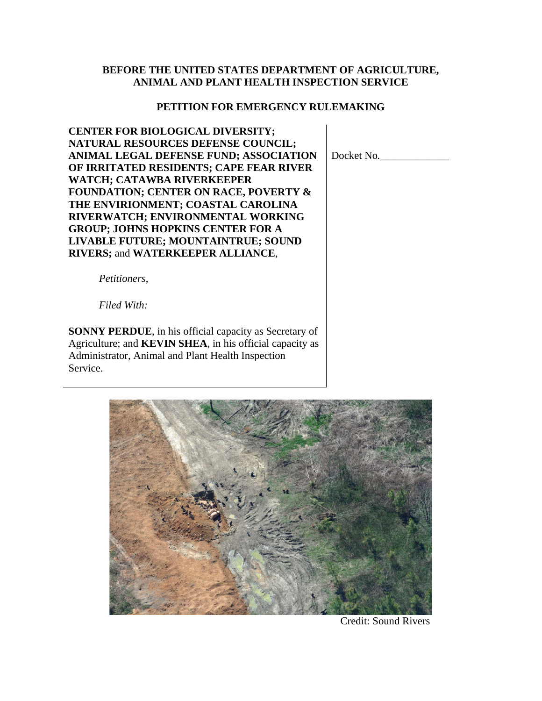#### **BEFORE THE UNITED STATES DEPARTMENT OF AGRICULTURE, ANIMAL AND PLANT HEALTH INSPECTION SERVICE**

#### **PETITION FOR EMERGENCY RULEMAKING**

**CENTER FOR BIOLOGICAL DIVERSITY; NATURAL RESOURCES DEFENSE COUNCIL; ANIMAL LEGAL DEFENSE FUND; ASSOCIATION OF IRRITATED RESIDENTS; CAPE FEAR RIVER WATCH; CATAWBA RIVERKEEPER FOUNDATION; CENTER ON RACE, POVERTY & THE ENVIRIONMENT; COASTAL CAROLINA RIVERWATCH; ENVIRONMENTAL WORKING GROUP; JOHNS HOPKINS CENTER FOR A LIVABLE FUTURE; MOUNTAINTRUE; SOUND RIVERS;** and **WATERKEEPER ALLIANCE**,

Docket No*.\_\_\_\_\_\_\_\_\_\_\_\_\_*

*Petitioners*,

*Filed With:*

**SONNY PERDUE**, in his official capacity as Secretary of Agriculture; and **KEVIN SHEA**, in his official capacity as Administrator, Animal and Plant Health Inspection Service.



Credit: Sound Rivers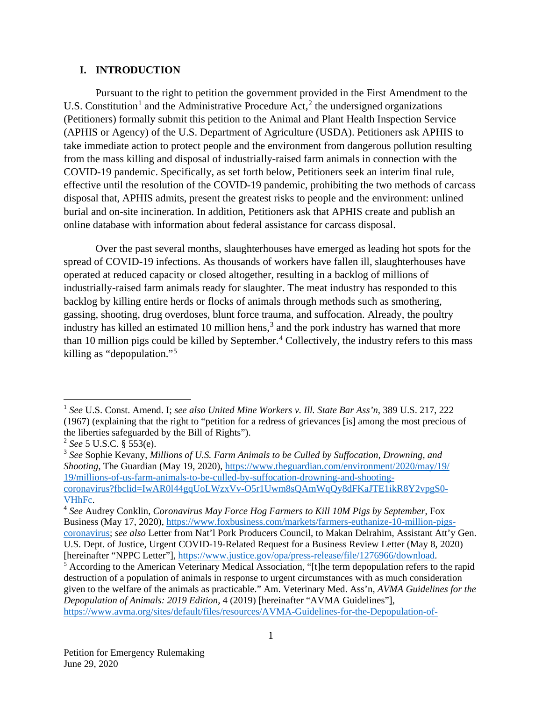#### **I. INTRODUCTION**

Pursuant to the right to petition the government provided in the First Amendment to the U.S. Constitution<sup>[1](#page-1-0)</sup> and the Administrative Procedure Act,<sup>[2](#page-1-1)</sup> the undersigned organizations (Petitioners) formally submit this petition to the Animal and Plant Health Inspection Service (APHIS or Agency) of the U.S. Department of Agriculture (USDA). Petitioners ask APHIS to take immediate action to protect people and the environment from dangerous pollution resulting from the mass killing and disposal of industrially-raised farm animals in connection with the COVID-19 pandemic. Specifically, as set forth below, Petitioners seek an interim final rule, effective until the resolution of the COVID-19 pandemic, prohibiting the two methods of carcass disposal that, APHIS admits, present the greatest risks to people and the environment: unlined burial and on-site incineration. In addition, Petitioners ask that APHIS create and publish an online database with information about federal assistance for carcass disposal.

Over the past several months, slaughterhouses have emerged as leading hot spots for the spread of COVID-19 infections. As thousands of workers have fallen ill, slaughterhouses have operated at reduced capacity or closed altogether, resulting in a backlog of millions of industrially-raised farm animals ready for slaughter. The meat industry has responded to this backlog by killing entire herds or flocks of animals through methods such as smothering, gassing, shooting, drug overdoses, blunt force trauma, and suffocation. Already, the poultry industry has killed an estimated 10 million hens,<sup>[3](#page-1-2)</sup> and the pork industry has warned that more than 10 million pigs could be killed by September.<sup>[4](#page-1-3)</sup> Collectively, the industry refers to this mass killing as "depopulation."[5](#page-1-4)

<span id="page-1-2"></span><sup>3</sup> *See* Sophie Kevany, *Millions of U.S. Farm Animals to be Culled by Suffocation, Drowning, and Shooting*, The Guardian (May 19, 2020), [https://www.theguardian.com/environment/2020/may/19/](https://www.theguardian.com/environment/2020/may/19/millions-of-us-farm-animals-to-be-culled-by-suffocation-drowning-and-shooting-coronavirus?fbclid=IwAR0l44gqUoLWzxVv-O5r1Uwm8sQAmWqQy8dFKaJTE1ikR8Y2vpgS0-VHhFc) [19/millions-of-us-farm-animals-to-be-culled-by-suffocation-drowning-and-shooting](https://www.aphis.usda.gov/aphis/newsroom/stakeholder-info/sa_by_date/sa-2020/sa-04/meat-processing-coordination-center)[coronavirus?fbclid=IwAR0l44gqUoLWzxVv-O5r1Uwm8sQAmWqQy8dFKaJTE1ikR8Y2vpgS0-](https://www.aphis.usda.gov/aphis/newsroom/stakeholder-info/sa_by_date/sa-2020/sa-04/meat-processing-coordination-center) [VHhFc.](https://www.aphis.usda.gov/aphis/newsroom/stakeholder-info/sa_by_date/sa-2020/sa-04/meat-processing-coordination-center)

<span id="page-1-0"></span> <sup>1</sup> *See* U.S. Const. Amend. I; *see also United Mine Workers v. Ill. State Bar Ass'n*, 389 U.S. 217, 222 (1967) (explaining that the right to "petition for a redress of grievances [is] among the most precious of the liberties safeguarded by the Bill of Rights").

<span id="page-1-1"></span><sup>2</sup> *See* 5 U.S.C. § 553(e).

<span id="page-1-3"></span><sup>4</sup> *See* Audrey Conklin, *Coronavirus May Force Hog Farmers to Kill 10M Pigs by September*, Fox Business (May 17, 2020), [https://www.foxbusiness.com/markets/farmers-euthanize-10-million-pigs](https://www.foxbusiness.com/markets/farmers-euthanize-10-million-pigs-coronavirus)[coronavirus;](https://www.foxbusiness.com/markets/farmers-euthanize-10-million-pigs-coronavirus) *see also* Letter from Nat'l Pork Producers Council, to Makan Delrahim, Assistant Att'y Gen. U.S. Dept. of Justice, Urgent COVID-19-Related Request for a Business Review Letter (May 8, 2020) [hereinafter "NPPC Letter"],<https://www.justice.gov/opa/press-release/file/1276966/download.>

<span id="page-1-4"></span><sup>5</sup> According to the American Veterinary Medical Association, "[t]he term depopulation refers to the rapid destruction of a population of animals in response to urgent circumstances with as much consideration given to the welfare of the animals as practicable." Am. Veterinary Med. Ass'n*, AVMA Guidelines for the Depopulation of Animals: 2019 Edition*, 4 (2019) [hereinafter "AVMA Guidelines"], [https://www.avma.org/sites/default/files/resources/AVMA-Guidelines-for-the-Depopulation-of-](https://www.avma.org/sites/default/files/resources/AVMA-Guidelines-for-the-Depopulation-of-Animals.pdf)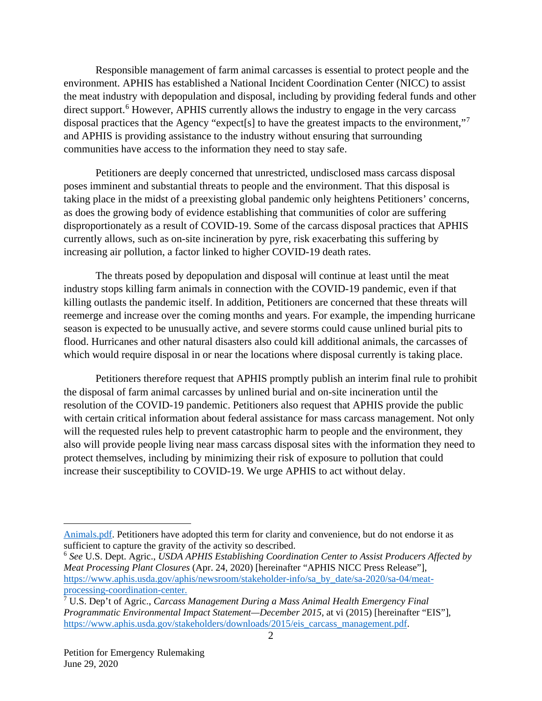Responsible management of farm animal carcasses is essential to protect people and the environment. APHIS has established a National Incident Coordination Center (NICC) to assist the meat industry with depopulation and disposal, including by providing federal funds and other direct support.<sup>[6](#page-2-0)</sup> However, APHIS currently allows the industry to engage in the very carcass disposal practices that the Agency "expect<sup>[s]</sup> to have the greatest impacts to the environment,"<sup>[7](#page-2-1)</sup> and APHIS is providing assistance to the industry without ensuring that surrounding communities have access to the information they need to stay safe.

Petitioners are deeply concerned that unrestricted, undisclosed mass carcass disposal poses imminent and substantial threats to people and the environment. That this disposal is taking place in the midst of a preexisting global pandemic only heightens Petitioners' concerns, as does the growing body of evidence establishing that communities of color are suffering disproportionately as a result of COVID-19. Some of the carcass disposal practices that APHIS currently allows, such as on-site incineration by pyre, risk exacerbating this suffering by increasing air pollution, a factor linked to higher COVID-19 death rates.

The threats posed by depopulation and disposal will continue at least until the meat industry stops killing farm animals in connection with the COVID-19 pandemic, even if that killing outlasts the pandemic itself. In addition, Petitioners are concerned that these threats will reemerge and increase over the coming months and years. For example, the impending hurricane season is expected to be unusually active, and severe storms could cause unlined burial pits to flood. Hurricanes and other natural disasters also could kill additional animals, the carcasses of which would require disposal in or near the locations where disposal currently is taking place.

Petitioners therefore request that APHIS promptly publish an interim final rule to prohibit the disposal of farm animal carcasses by unlined burial and on-site incineration until the resolution of the COVID-19 pandemic. Petitioners also request that APHIS provide the public with certain critical information about federal assistance for mass carcass management. Not only will the requested rules help to prevent catastrophic harm to people and the environment, they also will provide people living near mass carcass disposal sites with the information they need to protect themselves, including by minimizing their risk of exposure to pollution that could increase their susceptibility to COVID-19. We urge APHIS to act without delay.

 $\overline{a}$ 

[Animals.pdf.](https://www.avma.org/sites/default/files/resources/AVMA-Guidelines-for-the-Depopulation-of-Animals.pdf) Petitioners have adopted this term for clarity and convenience, but do not endorse it as sufficient to capture the gravity of the activity so described.

<span id="page-2-0"></span><sup>6</sup> *See* U.S. Dept. Agric., *USDA APHIS Establishing Coordination Center to Assist Producers Affected by Meat Processing Plant Closures* (Apr. 24, 2020) [hereinafter "APHIS NICC Press Release"], [https://www.aphis.usda.gov/aphis/newsroom/stakeholder-info/sa\\_by\\_date/sa-2020/sa-04/meat](https://www.aphis.usda.gov/aphis/newsroom/stakeholder-info/sa_by_date/sa-2020/sa-04/meat-processing-coordination-center)[processing-coordination-center.](https://www.aphis.usda.gov/aphis/newsroom/stakeholder-info/sa_by_date/sa-2020/sa-04/meat-processing-coordination-center)

<span id="page-2-1"></span><sup>7</sup> U.S. Dep't of Agric., *Carcass Management During a Mass Animal Health Emergency Final Programmatic Environmental Impact Statement—December 2015*, at vi (2015) [hereinafter "EIS"], [https://www.aphis.usda.gov/stakeholders/downloads/2015/eis\\_carcass\\_management.pdf.](https://www.aphis.usda.gov/stakeholders/downloads/2015/eis_carcass_management.pdf)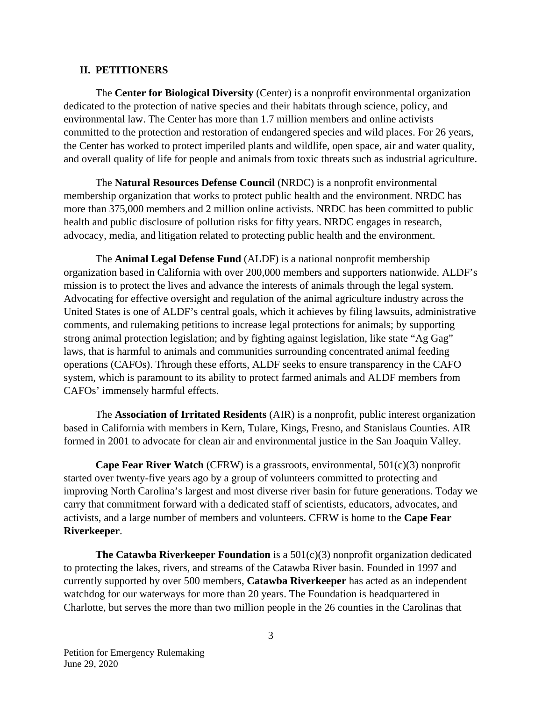#### **II. PETITIONERS**

The **Center for Biological Diversity** (Center) is a nonprofit environmental organization dedicated to the protection of native species and their habitats through science, policy, and environmental law. The Center has more than 1.7 million members and online activists committed to the protection and restoration of endangered species and wild places. For 26 years, the Center has worked to protect imperiled plants and wildlife, open space, air and water quality, and overall quality of life for people and animals from toxic threats such as industrial agriculture.

The **Natural Resources Defense Council** (NRDC) is a nonprofit environmental membership organization that works to protect public health and the environment. NRDC has more than 375,000 members and 2 million online activists. NRDC has been committed to public health and public disclosure of pollution risks for fifty years. NRDC engages in research, advocacy, media, and litigation related to protecting public health and the environment.

The **Animal Legal Defense Fund** (ALDF) is a national nonprofit membership organization based in California with over 200,000 members and supporters nationwide. ALDF's mission is to protect the lives and advance the interests of animals through the legal system. Advocating for effective oversight and regulation of the animal agriculture industry across the United States is one of ALDF's central goals, which it achieves by filing lawsuits, administrative comments, and rulemaking petitions to increase legal protections for animals; by supporting strong animal protection legislation; and by fighting against legislation, like state "Ag Gag" laws, that is harmful to animals and communities surrounding concentrated animal feeding operations (CAFOs). Through these efforts, ALDF seeks to ensure transparency in the CAFO system, which is paramount to its ability to protect farmed animals and ALDF members from CAFOs' immensely harmful effects.

The **Association of Irritated Residents** (AIR) is a nonprofit, public interest organization based in California with members in Kern, Tulare, Kings, Fresno, and Stanislaus Counties. AIR formed in 2001 to advocate for clean air and environmental justice in the San Joaquin Valley.

**Cape Fear River Watch** (CFRW) is a grassroots, environmental, 501(c)(3) nonprofit started over twenty-five years ago by a group of volunteers committed to protecting and improving North Carolina's largest and most diverse river basin for future generations. Today we carry that commitment forward with a dedicated staff of scientists, educators, advocates, and activists, and a large number of members and volunteers. CFRW is home to the **Cape Fear Riverkeeper**.

**The Catawba Riverkeeper Foundation** is a 501(c)(3) nonprofit organization dedicated to protecting the lakes, rivers, and streams of the Catawba River basin. Founded in 1997 and currently supported by over 500 members, **Catawba Riverkeeper** has acted as an independent watchdog for our waterways for more than 20 years. The Foundation is headquartered in Charlotte, but serves the more than two million people in the 26 counties in the Carolinas that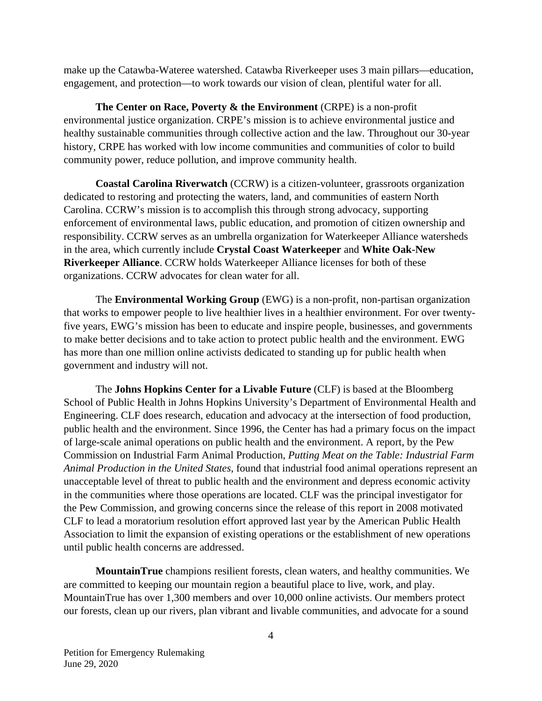make up the Catawba-Wateree watershed. Catawba Riverkeeper uses 3 main pillars—education, engagement, and protection—to work towards our vision of clean, plentiful water for all.

**The Center on Race, Poverty & the Environment** (CRPE) is a non-profit environmental justice organization. CRPE's mission is to achieve environmental justice and healthy sustainable communities through collective action and the law. Throughout our 30-year history, CRPE has worked with low income communities and communities of color to build community power, reduce pollution, and improve community health.

**Coastal Carolina Riverwatch** (CCRW) is a citizen-volunteer, grassroots organization dedicated to restoring and protecting the waters, land, and communities of eastern North Carolina. CCRW's mission is to accomplish this through strong advocacy, supporting enforcement of environmental laws, public education, and promotion of citizen ownership and responsibility. CCRW serves as an umbrella organization for Waterkeeper Alliance watersheds in the area, which currently include **Crystal Coast Waterkeeper** and **White Oak-New Riverkeeper Alliance**. CCRW holds Waterkeeper Alliance licenses for both of these organizations. CCRW advocates for clean water for all.

The **Environmental Working Group** (EWG) is a non-profit, non-partisan organization that works to empower people to live healthier lives in a healthier environment. For over twentyfive years, EWG's mission has been to educate and inspire people, businesses, and governments to make better decisions and to take action to protect public health and the environment. EWG has more than one million online activists dedicated to standing up for public health when government and industry will not.

The **Johns Hopkins Center for a Livable Future** (CLF) is based at the Bloomberg School of Public Health in Johns Hopkins University's Department of Environmental Health and Engineering. CLF does research, education and advocacy at the intersection of food production, public health and the environment. Since 1996, the Center has had a primary focus on the impact of large-scale animal operations on public health and the environment. A report, by the Pew Commission on Industrial Farm Animal Production, *Putting Meat on the Table: Industrial Farm Animal Production in the United States*, found that industrial food animal operations represent an unacceptable level of threat to public health and the environment and depress economic activity in the communities where those operations are located. CLF was the principal investigator for the Pew Commission, and growing concerns since the release of this report in 2008 motivated CLF to lead a moratorium resolution effort approved last year by the American Public Health Association to limit the expansion of existing operations or the establishment of new operations until public health concerns are addressed.

**MountainTrue** champions resilient forests, clean waters, and healthy communities. We are committed to keeping our mountain region a beautiful place to live, work, and play. MountainTrue has over 1,300 members and over 10,000 online activists. Our members protect our forests, clean up our rivers, plan vibrant and livable communities, and advocate for a sound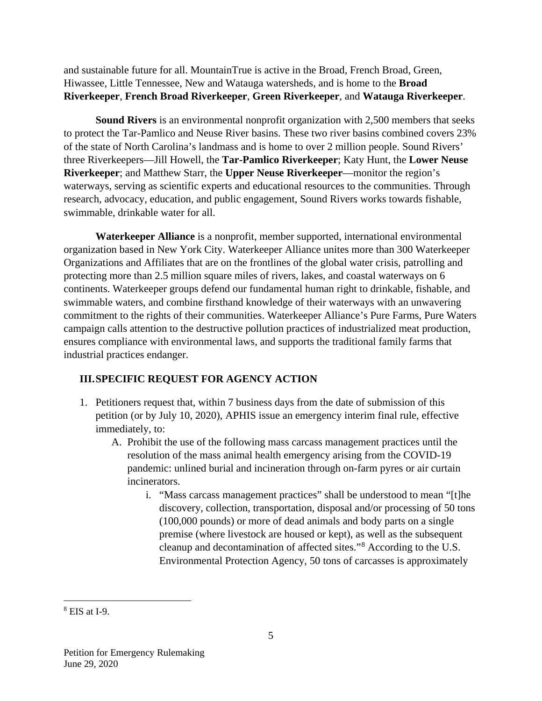and sustainable future for all. MountainTrue is active in the Broad, French Broad, Green, Hiwassee, Little Tennessee, New and Watauga watersheds, and is home to the **Broad Riverkeeper**, **French Broad Riverkeeper**, **Green Riverkeeper**, and **Watauga Riverkeeper**.

**Sound Rivers** is an environmental nonprofit organization with 2,500 members that seeks to protect the Tar-Pamlico and Neuse River basins. These two river basins combined covers 23% of the state of North Carolina's landmass and is home to over 2 million people. Sound Rivers' three Riverkeepers—Jill Howell, the **Tar-Pamlico Riverkeeper**; Katy Hunt, the **Lower Neuse Riverkeeper**; and Matthew Starr, the **Upper Neuse Riverkeeper**—monitor the region's waterways, serving as scientific experts and educational resources to the communities. Through research, advocacy, education, and public engagement, Sound Rivers works towards fishable, swimmable, drinkable water for all.

**Waterkeeper Alliance** is a nonprofit, member supported, international environmental organization based in New York City. Waterkeeper Alliance unites more than 300 Waterkeeper Organizations and Affiliates that are on the frontlines of the global water crisis, patrolling and protecting more than 2.5 million square miles of rivers, lakes, and coastal waterways on 6 continents. Waterkeeper groups defend our fundamental human right to drinkable, fishable, and swimmable waters, and combine firsthand knowledge of their waterways with an unwavering commitment to the rights of their communities. Waterkeeper Alliance's Pure Farms, Pure Waters campaign calls attention to the destructive pollution practices of industrialized meat production, ensures compliance with environmental laws, and supports the traditional family farms that industrial practices endanger.

## **III.SPECIFIC REQUEST FOR AGENCY ACTION**

- 1. Petitioners request that, within 7 business days from the date of submission of this petition (or by July 10, 2020), APHIS issue an emergency interim final rule, effective immediately, to:
	- A. Prohibit the use of the following mass carcass management practices until the resolution of the mass animal health emergency arising from the COVID-19 pandemic: unlined burial and incineration through on-farm pyres or air curtain incinerators.
		- i. "Mass carcass management practices" shall be understood to mean "[t]he discovery, collection, transportation, disposal and/or processing of 50 tons (100,000 pounds) or more of dead animals and body parts on a single premise (where livestock are housed or kept), as well as the subsequent cleanup and decontamination of affected sites."[8](#page-5-0) According to the U.S. Environmental Protection Agency, 50 tons of carcasses is approximately

<span id="page-5-0"></span> $8$  EIS at I-9.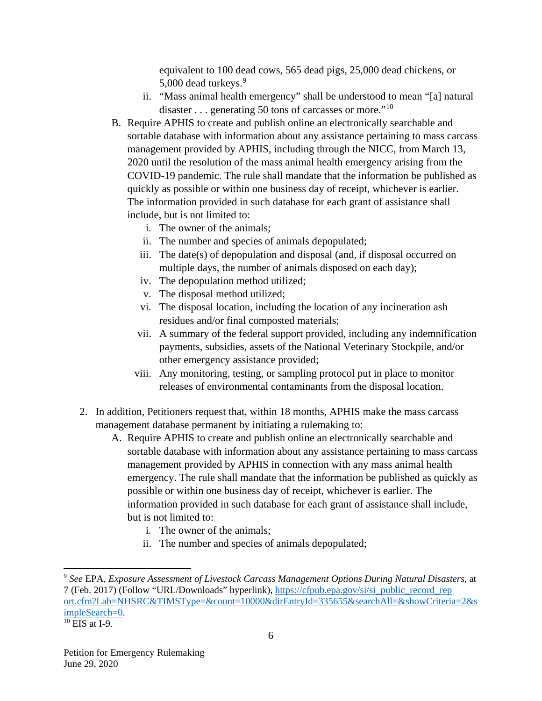equivalent to 100 dead cows, 565 dead pigs, 25,000 dead chickens, or 5,000 dead turkeys.<sup>[9](#page-6-0)</sup>

- ii. "Mass animal health emergency" shall be understood to mean "[a] natural disaster . . . generating 50 tons of carcasses or more."<sup>[10](#page-6-1)</sup>
- B. Require APHIS to create and publish online an electronically searchable and sortable database with information about any assistance pertaining to mass carcass management provided by APHIS, including through the NICC, from March 13, 2020 until the resolution of the mass animal health emergency arising from the COVID-19 pandemic. The rule shall mandate that the information be published as quickly as possible or within one business day of receipt, whichever is earlier. The information provided in such database for each grant of assistance shall include, but is not limited to:
	- i. The owner of the animals;
	- ii. The number and species of animals depopulated;
	- iii. The date(s) of depopulation and disposal (and, if disposal occurred on multiple days, the number of animals disposed on each day);
	- iv. The depopulation method utilized;
	- v. The disposal method utilized;
	- vi. The disposal location, including the location of any incineration ash residues and/or final composted materials;
	- vii. A summary of the federal support provided, including any indemnification payments, subsidies, assets of the National Veterinary Stockpile, and/or other emergency assistance provided;
	- viii. Any monitoring, testing, or sampling protocol put in place to monitor releases of environmental contaminants from the disposal location.
- 2. In addition, Petitioners request that, within 18 months, APHIS make the mass carcass management database permanent by initiating a rulemaking to:
	- A. Require APHIS to create and publish online an electronically searchable and sortable database with information about any assistance pertaining to mass carcass management provided by APHIS in connection with any mass animal health emergency. The rule shall mandate that the information be published as quickly as possible or within one business day of receipt, whichever is earlier. The information provided in such database for each grant of assistance shall include, but is not limited to:
		- i. The owner of the animals;
		- ii. The number and species of animals depopulated;

<span id="page-6-0"></span> <sup>9</sup> *See* EPA, *Exposure Assessment of Livestock Carcass Management Options During Natural Disasters*, at 7 (Feb. 2017) (Follow "URL/Downloads" hyperlink), [https://cfpub.epa.gov/si/si\\_public\\_record\\_rep](https://cfpub.epa.gov/si/si_public_record_report.cfm?Lab=NHSRC&TIMSType=&count=10000&dirEntryId=335655&searchAll=&showCriteria=2&simpleSearch=0) [ort.cfm?Lab=NHSRC&TIMSType=&count=10000&dirEntryId=335655&searchAll=&showCriteria=2&s](https://cfpub.epa.gov/si/si_public_record_report.cfm?Lab=NHSRC&TIMSType=&count=10000&dirEntryId=335655&searchAll=&showCriteria=2&simpleSearch=0) [impleSearch=0.](https://cfpub.epa.gov/si/si_public_record_report.cfm?Lab=NHSRC&TIMSType=&count=10000&dirEntryId=335655&searchAll=&showCriteria=2&simpleSearch=0)

<span id="page-6-1"></span> $10$  EIS at I-9.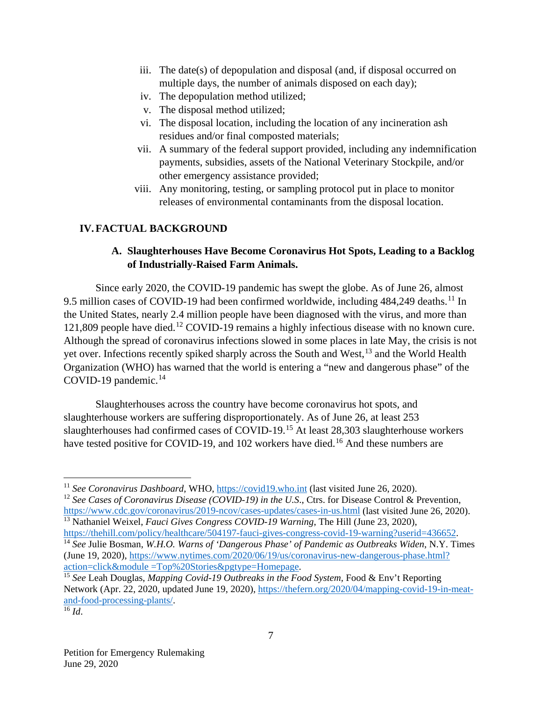- iii. The date(s) of depopulation and disposal (and, if disposal occurred on multiple days, the number of animals disposed on each day);
- iv. The depopulation method utilized;
- v. The disposal method utilized;
- vi. The disposal location, including the location of any incineration ash residues and/or final composted materials;
- vii. A summary of the federal support provided, including any indemnification payments, subsidies, assets of the National Veterinary Stockpile, and/or other emergency assistance provided;
- viii. Any monitoring, testing, or sampling protocol put in place to monitor releases of environmental contaminants from the disposal location.

### **IV.FACTUAL BACKGROUND**

### **A. Slaughterhouses Have Become Coronavirus Hot Spots, Leading to a Backlog of Industrially-Raised Farm Animals.**

Since early 2020, the COVID-19 pandemic has swept the globe. As of June 26, almost 9.5 million cases of COVID-19 had been confirmed worldwide, including 484,249 deaths.<sup>[11](#page-7-0)</sup> In the United States, nearly 2.4 million people have been diagnosed with the virus, and more than 121,809 people have died.[12](#page-7-1) COVID-19 remains a highly infectious disease with no known cure. Although the spread of coronavirus infections slowed in some places in late May, the crisis is not yet over. Infections recently spiked sharply across the South and West,<sup>[13](#page-7-2)</sup> and the World Health Organization (WHO) has warned that the world is entering a "new and dangerous phase" of the COVID-19 pandemic. [14](#page-7-3)

Slaughterhouses across the country have become coronavirus hot spots, and slaughterhouse workers are suffering disproportionately. As of June 26, at least 253 slaughterhouses had confirmed cases of COVID-19.[15](#page-7-4) At least 28,303 slaughterhouse workers have tested positive for COVID-19, and 102 workers have died.<sup>[16](#page-7-5)</sup> And these numbers are

<span id="page-7-0"></span> <sup>11</sup> *See Coronavirus Dashboard*, WHO, [https://covid19.who.int](https://covid19.who.int/) (last visited June 26, 2020).

<span id="page-7-1"></span><sup>&</sup>lt;sup>12</sup> See Cases of Coronavirus Disease (COVID-19) in the U.S., Ctrs. for Disease Control & Prevention, <https://www.cdc.gov/coronavirus/2019-ncov/cases-updates/cases-in-us.html> (last visited June 26, 2020).

<span id="page-7-2"></span><sup>&</sup>lt;sup>13</sup> Nathaniel Weixel, *Fauci Gives Congress COVID-19 Warning*, The Hill (June 23, 2020),<br>https://thehill.com/policy/healthcare/504197-fauci-gives-congress-covid-19-warning?userid=436652.

<span id="page-7-3"></span><sup>&</sup>lt;sup>[14](https://thehill.com/policy/healthcare/504197-fauci-gives-congress-covid-19-warning?userid=436652)</sup> See Julie Bosman, *W.H.O. Warns of 'Dangerous Phase' of Pandemic as Outbreaks Widen*, N.Y. Times (June 19, 2020), [https://www.nytimes.com/2020/06/19/us/coronavirus-new-dangerous-phase.html?](https://www.nytimes.com/2020/06/19/us/coronavirus-new-dangerous-phase.html?action=click&module=Top%20Stories&pgtype=Homepage)  [action=click&module =Top%20Stories&pgtype=Homepage.](https://www.nytimes.com/2020/06/19/us/coronavirus-new-dangerous-phase.html?action=click&module=Top%20Stories&pgtype=Homepage)

<span id="page-7-4"></span><sup>&</sup>lt;sup>15</sup> See Leah Douglas, *Mapping Covid-19 Outbreaks in the Food System*, Food & Env't Reporting Network (Apr. 22, 2020, updated June 19, 2020), [https://thefern.org/2020/04/mapping-covid-19-in-meat](https://thefern.org/2020/04/mapping-covid-19-in-meat-and-food-processing-plants/)[and-food-processing-plants/.](https://thefern.org/2020/04/mapping-covid-19-in-meat-and-food-processing-plants/)

<span id="page-7-5"></span> $\overline{^{16}$  *Id*.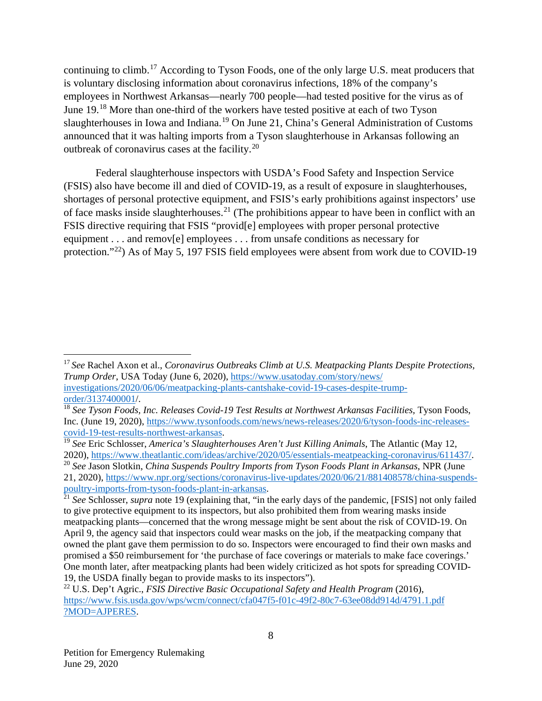continuing to climb.[17](#page-8-0) According to Tyson Foods, one of the only large U.S. meat producers that is voluntary disclosing information about coronavirus infections, 18% of the company's employees in Northwest Arkansas—nearly 700 people—had tested positive for the virus as of June 19.<sup>[18](#page-8-1)</sup> More than one-third of the workers have tested positive at each of two Tyson slaughterhouses in Iowa and Indiana.<sup>[19](#page-8-2)</sup> On June 21, China's General Administration of Customs announced that it was halting imports from a Tyson slaughterhouse in Arkansas following an outbreak of coronavirus cases at the facility. [20](#page-8-3)

Federal slaughterhouse inspectors with USDA's Food Safety and Inspection Service (FSIS) also have become ill and died of COVID-19, as a result of exposure in slaughterhouses, shortages of personal protective equipment, and FSIS's early prohibitions against inspectors' use of face masks inside slaughterhouses.<sup>[21](#page-8-4)</sup> (The prohibitions appear to have been in conflict with an FSIS directive requiring that FSIS "provid[e] employees with proper personal protective equipment . . . and remov[e] employees . . . from unsafe conditions as necessary for protection."[22\)](#page-8-5) As of May 5, 197 FSIS field employees were absent from work due to COVID-19

<span id="page-8-0"></span> <sup>17</sup> *See* Rachel Axon et al., *Coronavirus Outbreaks Climb at U.S. Meatpacking Plants Despite Protections, Trump Order*, USA Today (June 6, 2020), [https://www.usatoday.com/story/news/](https://www.usatoday.com/story/news/investigations/2020/06/06/meatpacking-plants-cant-shake-covid-19-cases-despite-trump-order/3137400001/) [investigations/2020/06/06/meatpacking-plants-cantshake-covid-19-cases-despite-trump](https://www.usatoday.com/story/news/investigations/2020/06/06/meatpacking-plants-cant-shake-covid-19-cases-despite-trump-order/3137400001/)[order/3137400001/](https://www.usatoday.com/story/news/investigations/2020/06/06/meatpacking-plants-cant-shake-covid-19-cases-despite-trump-order/3137400001/).

<span id="page-8-1"></span><sup>&</sup>lt;sup>18</sup> See Tyson Foods, Inc. Releases Covid-19 Test Results at Northwest Arkansas Facilities, Tyson Foods, Inc. (June 19, 2020), [https://www.tysonfoods.com/news/news-releases/2020/6/tyson-foods-inc-releases](https://www.tysonfoods.com/news/news-releases/2020/6/tyson-foods-inc-releases-covid-19-test-results-northwest-arkansas)[covid-19-test-results-northwest-arkansas.](https://www.tysonfoods.com/news/news-releases/2020/6/tyson-foods-inc-releases-covid-19-test-results-northwest-arkansas)

<span id="page-8-2"></span><sup>19</sup> *See* Eric Schlosser, *America's Slaughterhouses Aren't Just Killing Animals*, The Atlantic (May 12, 2020), [https://www.theatlantic.com/ideas/archive/2020/05/essentials-meatpeacking-coronavirus/611437/.](https://www.theatlantic.com/ideas/archive/2020/05/essentials-meatpeacking-coronavirus/611437/)

<span id="page-8-3"></span><sup>20</sup> *See* Jason Slotkin, *China Suspends Poultry Imports from Tyson Foods Plant in Arkansas*, NPR (June 21, 2020), [https://www.npr.org/sections/coronavirus-live-updates/2020/06/21/881408578/china-suspends](https://www.npr.org/sections/coronavirus-live-updates/2020/06/21/881408578/china-suspends-poultry-imports-from-tyson-foods-plant-in-arkansas)[poultry-imports-from-tyson-foods-plant-in-arkansas.](https://www.npr.org/sections/coronavirus-live-updates/2020/06/21/881408578/china-suspends-poultry-imports-from-tyson-foods-plant-in-arkansas)

<span id="page-8-4"></span><sup>21</sup> *See* Schlosser, *supra* note 19 (explaining that, "in the early days of the pandemic, [FSIS] not only failed to give protective equipment to its inspectors, but also prohibited them from wearing masks inside meatpacking plants—concerned that the wrong message might be sent about the risk of COVID-19. On April 9, the agency said that inspectors could wear masks on the job, if the meatpacking company that owned the plant gave them permission to do so. Inspectors were encouraged to find their own masks and promised a \$50 reimbursement for 'the purchase of face coverings or materials to make face coverings.' One month later, after meatpacking plants had been widely criticized as hot spots for spreading COVID-19, the USDA finally began to provide masks to its inspectors").

<span id="page-8-5"></span><sup>22</sup> U.S. Dep't Agric., *FSIS Directive Basic Occupational Safety and Health Program* (2016), [https://www.fsis.usda.gov/wps/wcm/connect/cfa047f5-f01c-49f2-80c7-63ee08dd914d/4791.1.pdf](https://www.fsis.usda.gov/wps/wcm/connect/cfa047f5-f01c-49f2-80c7-63ee08dd914d/4791.1.pdf?MOD=AJPERES) [?MOD=AJPERES.](https://www.fsis.usda.gov/wps/wcm/connect/cfa047f5-f01c-49f2-80c7-63ee08dd914d/4791.1.pdf?MOD=AJPERES)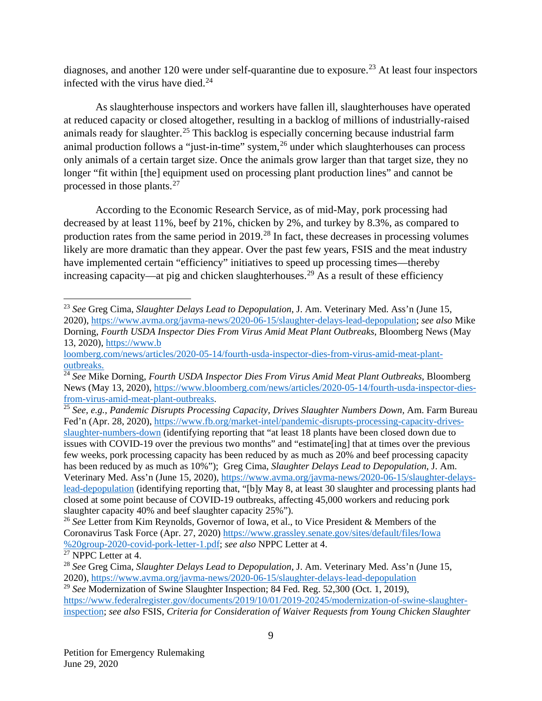diagnoses, and another 120 were under self-quarantine due to exposure.<sup>[23](#page-9-0)</sup> At least four inspectors infected with the virus have died. $^{24}$  $^{24}$  $^{24}$ 

As slaughterhouse inspectors and workers have fallen ill, slaughterhouses have operated at reduced capacity or closed altogether, resulting in a backlog of millions of industrially-raised animals ready for slaughter.<sup>[25](#page-9-2)</sup> This backlog is especially concerning because industrial farm animal production follows a "just-in-time" system,  $^{26}$  $^{26}$  $^{26}$  under which slaughterhouses can process only animals of a certain target size. Once the animals grow larger than that target size, they no longer "fit within [the] equipment used on processing plant production lines" and cannot be processed in those plants.<sup>[27](#page-9-4)</sup>

According to the Economic Research Service, as of mid-May, pork processing had decreased by at least 11%, beef by 21%, chicken by 2%, and turkey by 8.3%, as compared to production rates from the same period in 2019.[28](#page-9-5) In fact, these decreases in processing volumes likely are more dramatic than they appear. Over the past few years, FSIS and the meat industry have implemented certain "efficiency" initiatives to speed up processing times—thereby increasing capacity—at pig and chicken slaughterhouses.<sup>[29](#page-9-6)</sup> As a result of these efficiency

<span id="page-9-0"></span> <sup>23</sup> *See* Greg Cima, *Slaughter Delays Lead to Depopulation*, J. Am. Veterinary Med. Ass'n (June 15, 2020), [https://www.avma.org/javma-news/2020-06-15/slaughter-delays-lead-depopulation;](https://www.avma.org/javma-news/2020-06-15/slaughter-delays-lead-depopulation) *see also* Mike Dorning, *Fourth USDA Inspector Dies From Virus Amid Meat Plant Outbreaks*, Bloomberg News (May 13, 2020), [https://www.b](https://www.bloomberg.com/news/articles/2020-05-14/fourth-usda-inspector-dies-from-virus-amid-meat-plant-outbreaks)

[loomberg.com/news/articles/2020-05-14/fourth-usda-inspector-dies-from-virus-amid-meat-plant](https://www.bloomberg.com/news/articles/2020-05-14/fourth-usda-inspector-dies-from-virus-amid-meat-plant-outbreaks)[outbreaks.](https://www.bloomberg.com/news/articles/2020-05-14/fourth-usda-inspector-dies-from-virus-amid-meat-plant-outbreaks)

<span id="page-9-1"></span><sup>24</sup> *See* Mike Dorning, *Fourth USDA Inspector Dies From Virus Amid Meat Plant Outbreaks*, Bloomberg News (May 13, 2020), [https://www.bloomberg.com/news/articles/2020-05-14/fourth-usda-inspector-dies](https://www.bloomberg.com/news/articles/2020-05-14/fourth-usda-inspector-dies-from-virus-amid-meat-plant-outbreaks)[from-virus-amid-meat-plant-outbreaks.](https://www.bloomberg.com/news/articles/2020-05-14/fourth-usda-inspector-dies-from-virus-amid-meat-plant-outbreaks)

<span id="page-9-2"></span><sup>25</sup> *See, e.g., Pandemic Disrupts Processing Capacity, Drives Slaughter Numbers Down,* Am. Farm Bureau Fed'n (Apr. 28, 2020), [https://www.fb.org/market-intel/pandemic-disrupts-processing-capacity-drives](https://www.fb.org/market-intel/pandemic-disrupts-processing-capacity-drives-slaughter-numbers-down)[slaughter-numbers-down](https://www.fb.org/market-intel/pandemic-disrupts-processing-capacity-drives-slaughter-numbers-down) (identifying reporting that "at least 18 plants have been closed down due to issues with COVID-19 over the previous two months" and "estimate[ing] that at times over the previous few weeks, pork processing capacity has been reduced by as much as 20% and beef processing capacity has been reduced by as much as 10%"); Greg Cima, *Slaughter Delays Lead to Depopulation*, J. Am. Veterinary Med. Ass'n (June 15, 2020), [https://www.avma.org/javma-news/2020-06-15/slaughter-delays](https://www.avma.org/javma-news/2020-06-15/slaughter-delays-lead-depopulation)[lead-depopulation](https://www.avma.org/javma-news/2020-06-15/slaughter-delays-lead-depopulation) (identifying reporting that, "[b]y May 8, at least 30 slaughter and processing plants had closed at some point because of COVID-19 outbreaks, affecting 45,000 workers and reducing pork slaughter capacity 40% and beef slaughter capacity 25%").

<span id="page-9-3"></span><sup>26</sup> *See* Letter from Kim Reynolds, Governor of Iowa, et al., to Vice President & Members of the Coronavirus Task Force (Apr. 27, 2020) [https://www.grassley.senate.gov/sites/default/files/Iowa](https://earthjustice-my.sharepoint.com/personal/aandiman_earthjustice_org/Documents/Alexis%20@%20Earthjustice/See%20Letter%20from%20Kim%20Reynolds,%20Governor%20of%20Iowa,%20et%20al.,%20to%20Vice%20President%20&%20Members%20of%20the%20Coronavirus%20Task%20Force%20https:/www.grassley.senate.gov/sites/default/files/Iowa%20group-2020-covid-pork-letter-1.pdf;%20see%20also%20NPPC%20Letter%20at%204.) [%20group-2020-covid-pork-letter-1.pdf;](https://earthjustice-my.sharepoint.com/personal/aandiman_earthjustice_org/Documents/Alexis%20@%20Earthjustice/See%20Letter%20from%20Kim%20Reynolds,%20Governor%20of%20Iowa,%20et%20al.,%20to%20Vice%20President%20&%20Members%20of%20the%20Coronavirus%20Task%20Force%20https:/www.grassley.senate.gov/sites/default/files/Iowa%20group-2020-covid-pork-letter-1.pdf;%20see%20also%20NPPC%20Letter%20at%204.) *see also* NPPC Letter at 4.

<span id="page-9-4"></span> $\frac{27}{27}$  NPPC Letter at 4.

<span id="page-9-5"></span><sup>28</sup> *See* Greg Cima, *Slaughter Delays Lead to Depopulation*, J. Am. Veterinary Med. Ass'n (June 15, 2020),<https://www.avma.org/javma-news/2020-06-15/slaughter-delays-lead-depopulation>

<span id="page-9-6"></span><sup>&</sup>lt;sup>29</sup> See Modernization of Swine Slaughter Inspection; 84 Fed. Reg. 52,300 (Oct. 1, 2019),

[https://www.federalregister.gov/documents/2019/10/01/2019-20245/modernization-of-swine-slaughter](https://www.federalregister.gov/documents/2019/10/01/2019-20245/modernization-of-swine-slaughter-inspection)[inspection;](https://www.federalregister.gov/documents/2019/10/01/2019-20245/modernization-of-swine-slaughter-inspection) *see also* FSIS, *Criteria for Consideration of Waiver Requests from Young Chicken Slaughter*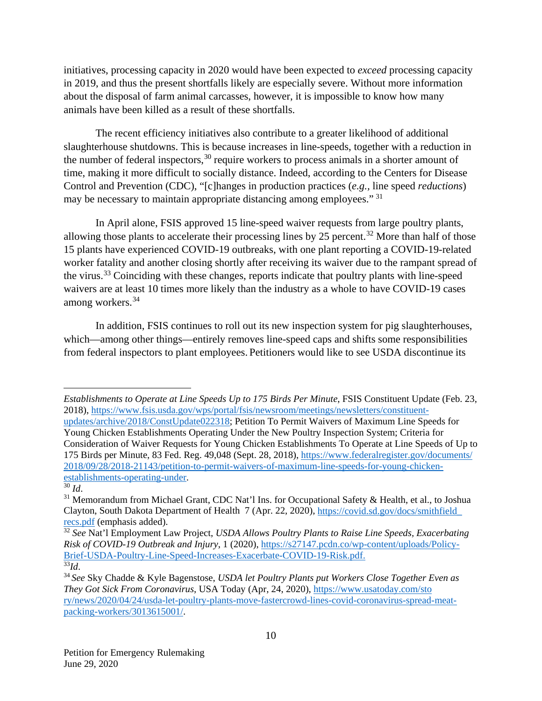initiatives, processing capacity in 2020 would have been expected to *exceed* processing capacity in 2019, and thus the present shortfalls likely are especially severe. Without more information about the disposal of farm animal carcasses, however, it is impossible to know how many animals have been killed as a result of these shortfalls.

The recent efficiency initiatives also contribute to a greater likelihood of additional slaughterhouse shutdowns. This is because increases in line-speeds, together with a reduction in the number of federal inspectors,<sup>[30](#page-10-0)</sup> require workers to process animals in a shorter amount of time, making it more difficult to socially distance. Indeed, according to the Centers for Disease Control and Prevention (CDC), "[c]hanges in production practices (*e.g.,* line speed *reductions*) may be necessary to maintain appropriate distancing among employees." [31](#page-10-1)

In April alone, FSIS approved 15 line-speed waiver requests from large poultry plants, allowing those plants to accelerate their processing lines by  $25$  percent.<sup>[32](#page-10-2)</sup> More than half of those 15 plants have experienced COVID-19 outbreaks, with one plant reporting a COVID-19-related worker fatality and another closing shortly after receiving its waiver due to the rampant spread of the virus.<sup>[33](#page-10-3)</sup> Coinciding with these changes, reports indicate that poultry plants with line-speed waivers are at least 10 times more likely than the industry as a whole to have COVID-19 cases among workers.[34](#page-10-4)

In addition, FSIS continues to roll out its new inspection system for pig slaughterhouses, which—among other things—entirely removes line-speed caps and shifts some responsibilities from federal inspectors to plant employees. Petitioners would like to see USDA discontinue its

 $\overline{a}$ *Establishments to Operate at Line Speeds Up to 175 Birds Per Minute*, FSIS Constituent Update (Feb. 23, 2018), [https://www.fsis.usda.gov/wps/portal/fsis/newsroom/meetings/newsletters/constituent](https://www.fsis.usda.gov/wps/portal/fsis/newsroom/meetings/newsletters/constituent-updates/archive/2018/ConstUpdate022318)[updates/archive/2018/ConstUpdate022318;](https://www.fsis.usda.gov/wps/portal/fsis/newsroom/meetings/newsletters/constituent-updates/archive/2018/ConstUpdate022318) Petition To Permit Waivers of Maximum Line Speeds for

Young Chicken Establishments Operating Under the New Poultry Inspection System; Criteria for Consideration of Waiver Requests for Young Chicken Establishments To Operate at Line Speeds of Up to 175 Birds per Minute, 83 Fed. Reg. 49,048 (Sept. 28, 2018), [https://www.federalregister.gov/documents/](https://www.federalregister.gov/documents/2018/09/28/2018-21143/petition-to-permit-waivers-of-maximum-line-speeds-for-young-chicken-establishments-operating-under)  [2018/09/28/2018-21143/petition-to-permit-waivers-of-maximum-line-speeds-for-young-chicken](https://www.federalregister.gov/documents/2018/09/28/2018-21143/petition-to-permit-waivers-of-maximum-line-speeds-for-young-chicken-establishments-operating-under)[establishments-operating-under.](https://www.federalregister.gov/documents/2018/09/28/2018-21143/petition-to-permit-waivers-of-maximum-line-speeds-for-young-chicken-establishments-operating-under)

<span id="page-10-0"></span> $\overline{30}$  *Id.* 

<span id="page-10-1"></span><sup>&</sup>lt;sup>31</sup> Memorandum from Michael Grant, CDC Nat'l Ins. for Occupational Safety & Health, et al., to Joshua Clayton, South Dakota Department of Health 7 (Apr. 22, 2020), [https://covid.sd.gov/docs/smithfield\\_](https://covid.sd.gov/docs/smithfield_recs.pdf)  [recs.pdf](https://covid.sd.gov/docs/smithfield_recs.pdf) (emphasis added).

<span id="page-10-2"></span><sup>32</sup> *See* Nat'l Employment Law Project, *USDA Allows Poultry Plants to Raise Line Speeds, Exacerbating Risk of COVID-19 Outbreak and Injury*, 1 (2020), [https://s27147.pcdn.co/wp-content/uploads/Policy-](https://s27147.pcdn.co/wp-content/uploads/Policy-Brief-USDA-Poultry-Line-Speed-Increases-Exacerbate-COVID-19-Risk.pdf)[Brief-USDA-Poultry-Line-Speed-Increases-Exacerbate-COVID-19-Risk.pdf.](https://s27147.pcdn.co/wp-content/uploads/Policy-Brief-USDA-Poultry-Line-Speed-Increases-Exacerbate-COVID-19-Risk.pdf)  $\overline{^{33}Id.}$ 

<span id="page-10-4"></span><span id="page-10-3"></span><sup>34</sup> *See* Sky Chadde & Kyle Bagenstose, *USDA let Poultry Plants put Workers Close Together Even as They Got Sick From Coronavirus*, USA Today (Apr, 24, 2020), [https://www.usatoday.com/sto](https://www.usatoday.com/story/news/2020/04/24/usda-let-poultry-plants-move-faster-crowd-lines-covid-coronavirus-spread-meat-packing-workers/3013615001/) [ry/news/2020/04/24/usda-let-poultry-plants-move-fastercrowd-lines-covid-coronavirus-spread-meat](https://www.usatoday.com/story/news/2020/04/24/usda-let-poultry-plants-move-faster-crowd-lines-covid-coronavirus-spread-meat-packing-workers/3013615001/)[packing-workers/3013615001/.](https://www.usatoday.com/story/news/2020/04/24/usda-let-poultry-plants-move-faster-crowd-lines-covid-coronavirus-spread-meat-packing-workers/3013615001/)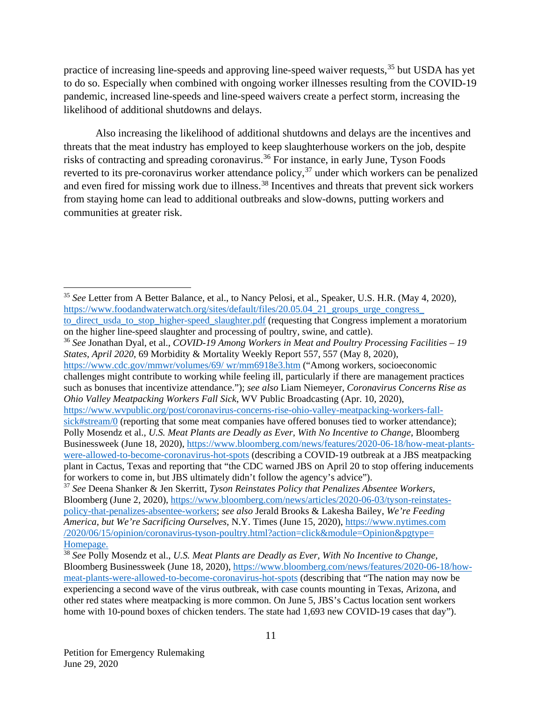practice of increasing line-speeds and approving line-speed waiver requests,<sup>[35](#page-11-0)</sup> but USDA has yet to do so. Especially when combined with ongoing worker illnesses resulting from the COVID-19 pandemic, increased line-speeds and line-speed waivers create a perfect storm, increasing the likelihood of additional shutdowns and delays.

Also increasing the likelihood of additional shutdowns and delays are the incentives and threats that the meat industry has employed to keep slaughterhouse workers on the job, despite risks of contracting and spreading coronavirus.<sup>[36](#page-11-1)</sup> For instance, in early June, Tyson Foods reverted to its pre-coronavirus worker attendance policy,<sup>[37](#page-11-2)</sup> under which workers can be penalized and even fired for missing work due to illness.<sup>[38](#page-11-3)</sup> Incentives and threats that prevent sick workers from staying home can lead to additional outbreaks and slow-downs, putting workers and communities at greater risk.

[https://www.wvpublic.org/post/coronavirus-concerns-rise-ohio-valley-meatpacking-workers-fall-](https://www.wvpublic.org/post/coronavirus-concerns-rise-ohio-valley-meatpacking-workers-fall-sick#stream/0)

<span id="page-11-0"></span> <sup>35</sup> *See* Letter from A Better Balance, et al., to Nancy Pelosi, et al., Speaker, U.S. H.R. (May 4, 2020), https://www.foodandwaterwatch.org/sites/default/files/20.05.04\_21\_groups\_urge\_congress [to\\_direct\\_usda\\_to\\_stop\\_higher-speed\\_slaughter.pdf](https://www.foodandwaterwatch.org/sites/default/files/20.05.04_21_groups_urge_congress_to_direct_usda_to_stop_higher-speed_slaughter.pdf) (requesting that Congress implement a moratorium on the higher line-speed slaughter and processing of poultry, swine, and cattle).

<span id="page-11-1"></span><sup>36</sup> *See* Jonathan Dyal, et al., *COVID-19 Among Workers in Meat and Poultry Processing Facilities – 19 States, April 2020*, 69 Morbidity & Mortality Weekly Report 557, 557 (May 8, 2020), [https://www.cdc.gov/mmwr/volumes/69/ wr/mm6918e3.htm](https://www.cdc.gov/mmwr/volumes/69/wr/mm6918e3.htm) ("Among workers, socioeconomic challenges might contribute to working while feeling ill, particularly if there are management practices such as bonuses that incentivize attendance."); *see also* Liam Niemeyer*, Coronavirus Concerns Rise as Ohio Valley Meatpacking Workers Fall Sick*, WV Public Broadcasting (Apr. 10, 2020),

[sick#stream/0](https://www.wvpublic.org/post/coronavirus-concerns-rise-ohio-valley-meatpacking-workers-fall-sick#stream/0) (reporting that some meat companies have offered bonuses tied to worker attendance); Polly Mosendz et al., *U.S. Meat Plants are Deadly as Ever, With No Incentive to Change*, Bloomberg Businessweek (June 18, 2020), [https://www.bloomberg.com/news/features/2020-06-18/how-meat-plants](https://www.bloomberg.com/news/features/2020-06-18/how-meat-plants-were-allowed-to-become-coronavirus-hot-spots)[were-allowed-to-become-coronavirus-hot-spots](https://www.bloomberg.com/news/features/2020-06-18/how-meat-plants-were-allowed-to-become-coronavirus-hot-spots) (describing a COVID-19 outbreak at a JBS meatpacking plant in Cactus, Texas and reporting that "the CDC warned JBS on April 20 to stop offering inducements for workers to come in, but JBS ultimately didn't follow the agency's advice").

<span id="page-11-2"></span><sup>37</sup> *See* Deena Shanker & Jen Skerritt, *Tyson Reinstates Policy that Penalizes Absentee Workers*, Bloomberg (June 2, 2020), [https://www.bloomberg.com/news/articles/2020-06-03/tyson-reinstates](https://www.bloomberg.com/news/articles/2020-06-03/tyson-reinstates-policy-that-penalizes-absentee-workers)[policy-that-penalizes-absentee-workers;](https://www.bloomberg.com/news/articles/2020-06-03/tyson-reinstates-policy-that-penalizes-absentee-workers) *see also* Jerald Brooks & Lakesha Bailey, *We're Feeding America, but We're Sacrificing Ourselves*, N.Y. Times (June 15, 2020), [https://www.nytimes.com](https://www.nytimes.com/2020/06/15/opinion/coronavirus-tyson-poultry.html?action=click&module=Opinion&pgtype=Homepage.) [/2020/06/15/opinion/coronavirus-tyson-poultry.html?action=click&module=Opinion&pgtype=](https://www.nytimes.com/2020/06/15/opinion/coronavirus-tyson-poultry.html?action=click&module=Opinion&pgtype=Homepage.) [Homepage.](https://www.nytimes.com/2020/06/15/opinion/coronavirus-tyson-poultry.html?action=click&module=Opinion&pgtype=Homepage.)

<span id="page-11-3"></span><sup>38</sup> *See* Polly Mosendz et al., *U.S. Meat Plants are Deadly as Ever, With No Incentive to Change*, Bloomberg Businessweek (June 18, 2020), [https://www.bloomberg.com/news/features/2020-06-18/how](https://www.bloomberg.com/news/features/2020-06-18/how-meat-plants-were-allowed-to-become-coronavirus-hot-spots)[meat-plants-were-allowed-to-become-coronavirus-hot-spots](https://www.bloomberg.com/news/features/2020-06-18/how-meat-plants-were-allowed-to-become-coronavirus-hot-spots) (describing that "The nation may now be experiencing a second wave of the virus outbreak, with case counts mounting in Texas, Arizona, and other red states where meatpacking is more common. On June 5, JBS's Cactus location sent workers home with 10-pound boxes of chicken tenders. The state had 1,693 new COVID-19 cases that day").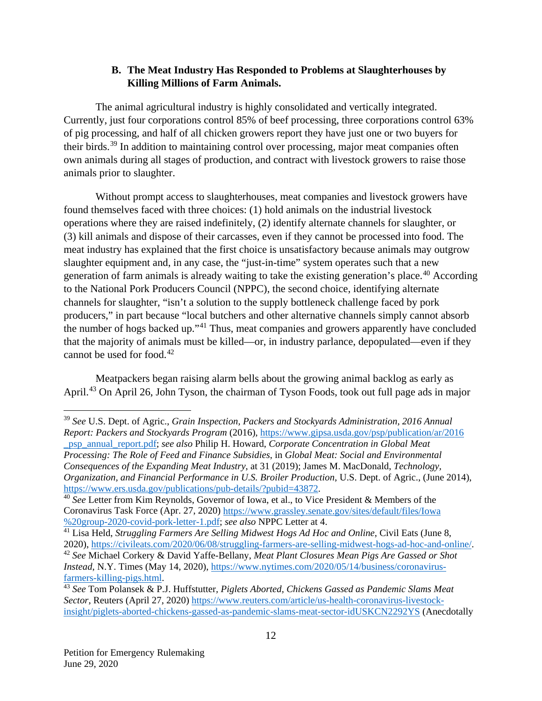### **B. The Meat Industry Has Responded to Problems at Slaughterhouses by Killing Millions of Farm Animals.**

The animal agricultural industry is highly consolidated and vertically integrated. Currently, just four corporations control 85% of beef processing, three corporations control 63% of pig processing, and half of all chicken growers report they have just one or two buyers for their birds.[39](#page-12-0) In addition to maintaining control over processing, major meat companies often own animals during all stages of production, and contract with livestock growers to raise those animals prior to slaughter.

Without prompt access to slaughterhouses, meat companies and livestock growers have found themselves faced with three choices: (1) hold animals on the industrial livestock operations where they are raised indefinitely, (2) identify alternate channels for slaughter, or (3) kill animals and dispose of their carcasses, even if they cannot be processed into food. The meat industry has explained that the first choice is unsatisfactory because animals may outgrow slaughter equipment and, in any case, the "just-in-time" system operates such that a new generation of farm animals is already waiting to take the existing generation's place.<sup>[40](#page-12-1)</sup> According to the National Pork Producers Council (NPPC), the second choice, identifying alternate channels for slaughter, "isn't a solution to the supply bottleneck challenge faced by pork producers," in part because "local butchers and other alternative channels simply cannot absorb the number of hogs backed up."[41](#page-12-2) Thus, meat companies and growers apparently have concluded that the majority of animals must be killed—or, in industry parlance, depopulated—even if they cannot be used for food. $42$ 

Meatpackers began raising alarm bells about the growing animal backlog as early as April.<sup>[43](#page-12-4)</sup> On April 26, John Tyson, the chairman of Tyson Foods, took out full page ads in major

<span id="page-12-0"></span> <sup>39</sup> *See* U.S. Dept. of Agric., *Grain Inspection, Packers and Stockyards Administration, 2016 Annual Report: Packers and Stockyards Program* (2016), [https://www.gipsa.usda.gov/psp/publication/ar/2016](https://www.gipsa.usda.gov/psp/publication/ar/2016_psp_annual_report.pdf) [\\_psp\\_annual\\_report.pdf;](https://www.gipsa.usda.gov/psp/publication/ar/2016_psp_annual_report.pdf) *see also* Philip H. Howard, *Corporate Concentration in Global Meat Processing: The Role of Feed and Finance Subsidies*, in *Global Meat: Social and Environmental Consequences of the Expanding Meat Industry*, at 31 (2019); James M. MacDonald, *Technology, Organization, and Financial Performance in U.S. Broiler Production*, U.S. Dept. of Agric., (June 2014), [https://www.ers.usda.gov/publications/pub-details/?pubid=43872.](https://www.ers.usda.gov/publications/pub-details/?pubid=43872)

<span id="page-12-1"></span><sup>40</sup> *See* Letter from Kim Reynolds, Governor of Iowa, et al., to Vice President & Members of the Coronavirus Task Force (Apr. 27, 2020) [https://www.grassley.senate.gov/sites/default/files/Iowa](https://earthjustice-my.sharepoint.com/personal/aandiman_earthjustice_org/Documents/Alexis%20@%20Earthjustice/See%20Letter%20from%20Kim%20Reynolds,%20Governor%20of%20Iowa,%20et%20al.,%20to%20Vice%20President%20&%20Members%20of%20the%20Coronavirus%20Task%20Force%20https:/www.grassley.senate.gov/sites/default/files/Iowa%20group-2020-covid-pork-letter-1.pdf;%20see%20also%20NPPC%20Letter%20at%204.) [%20group-2020-covid-pork-letter-1.pdf;](https://earthjustice-my.sharepoint.com/personal/aandiman_earthjustice_org/Documents/Alexis%20@%20Earthjustice/See%20Letter%20from%20Kim%20Reynolds,%20Governor%20of%20Iowa,%20et%20al.,%20to%20Vice%20President%20&%20Members%20of%20the%20Coronavirus%20Task%20Force%20https:/www.grassley.senate.gov/sites/default/files/Iowa%20group-2020-covid-pork-letter-1.pdf;%20see%20also%20NPPC%20Letter%20at%204.) *see also* NPPC Letter at 4.

<span id="page-12-2"></span><sup>&</sup>lt;sup>41</sup> Lisa Held, *Struggling Farmers Are Selling Midwest Hogs Ad Hoc and Online*, Civil Eats (June 8, 2020), [https://civileats.com/2020/06/08/struggling-farmers-are-selling-midwest-hogs-ad-hoc-and-online/.](https://civileats.com/2020/06/08/struggling-farmers-are-selling-midwest-hogs-ad-hoc-and-online/)

<span id="page-12-3"></span><sup>42</sup> *See* Michael Corkery & David Yaffe-Bellany, *Meat Plant Closures Mean Pigs Are Gassed or Shot Instead*, N.Y. Times (May 14, 2020), [https://www.nytimes.com/2020/05/14/business/coronavirus](https://www.nytimes.com/2020/05/14/business/coronavirus-farmers-killing-pigs.html)[farmers-killing-pigs.html.](https://www.nytimes.com/2020/05/14/business/coronavirus-farmers-killing-pigs.html)

<span id="page-12-4"></span><sup>43</sup> *See* Tom Polansek & P.J. Huffstutter*, Piglets Aborted, Chickens Gassed as Pandemic Slams Meat Sector*, Reuters (April 27, 2020) [https://www.reuters.com/article/us-health-coronavirus-livestock](https://www.reuters.com/article/us-health-coronavirus-livestock-insight/piglets-aborted-chickens-gassed-as-pandemic-slams-meat-sector-idUSKCN2292YS)[insight/piglets-aborted-chickens-gassed-as-pandemic-slams-meat-sector-idUSKCN2292YS](https://www.reuters.com/article/us-health-coronavirus-livestock-insight/piglets-aborted-chickens-gassed-as-pandemic-slams-meat-sector-idUSKCN2292YS) (Anecdotally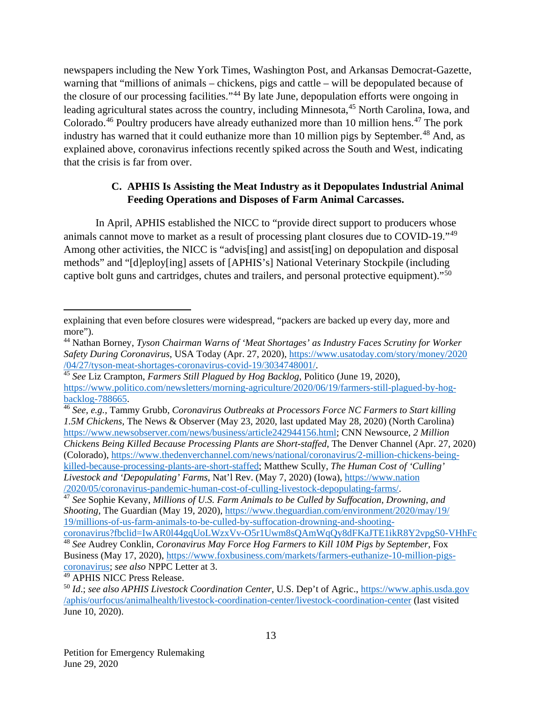newspapers including the New York Times, Washington Post, and Arkansas Democrat-Gazette, warning that "millions of animals – chickens, pigs and cattle – will be depopulated because of the closure of our processing facilities."[44](#page-13-0) By late June, depopulation efforts were ongoing in leading agricultural states across the country, including Minnesota, <sup>[45](#page-13-1)</sup> North Carolina, Iowa, and Colorado.<sup>[46](#page-13-2)</sup> Poultry producers have already euthanized more than 10 million hens.<sup>[47](#page-13-3)</sup> The pork industry has warned that it could euthanize more than 10 million pigs by September.<sup>[48](#page-13-4)</sup> And, as explained above, coronavirus infections recently spiked across the South and West, indicating that the crisis is far from over.

## **C. APHIS Is Assisting the Meat Industry as it Depopulates Industrial Animal Feeding Operations and Disposes of Farm Animal Carcasses.**

In April, APHIS established the NICC to "provide direct support to producers whose animals cannot move to market as a result of processing plant closures due to COVID-19."[49](#page-13-5) Among other activities, the NICC is "advis[ing] and assist[ing] on depopulation and disposal methods" and "[d]eploy[ing] assets of [APHIS's] National Veterinary Stockpile (including captive bolt guns and cartridges, chutes and trailers, and personal protective equipment)."[50](#page-13-6)

 $\overline{a}$ 

explaining that even before closures were widespread, "packers are backed up every day, more and more").

<span id="page-13-0"></span><sup>44</sup> Nathan Borney, *Tyson Chairman Warns of 'Meat Shortages' as Industry Faces Scrutiny for Worker*  Safety During Coronavirus, USA Today (Apr. 27, 2020), [https://www.usatoday.com/story/money/2020](https://www.usatoday.com/story/money/2020/04/27/tyson-meat-shortages-coronavirus-covid-19/3034748001/)<br>/04/27/tyson-meat-shortages-coronavirus-covid-19/3034748001/.

<span id="page-13-1"></span><sup>&</sup>lt;sup>45</sup> See Liz Crampton, *Farmers Still Plagued by Hog Backlog*, Politico (June 19, 2020), [https://www.politico.com/newsletters/morning-agriculture/2020/06/19/farmers-still-plagued-by-hog](https://www.politico.com/newsletters/morning-agriculture/2020/06/19/farmers-still-plagued-by-hog-backlog-788665)[backlog-788665.](https://www.politico.com/newsletters/morning-agriculture/2020/06/19/farmers-still-plagued-by-hog-backlog-788665)

<span id="page-13-2"></span><sup>46</sup> *See, e.g.,* Tammy Grubb, *Coronavirus Outbreaks at Processors Force NC Farmers to Start killing 1.5M Chickens,* The News & Observer (May 23, 2020, last updated May 28, 2020) (North Carolina) [https://www.newsobserver.com/news/business/article242944156.html;](https://www.newsobserver.com/news/business/article242944156.html) CNN Newsource, *2 Million Chickens Being Killed Because Processing Plants are Short-staffed*, The Denver Channel (Apr. 27, 2020) (Colorado), [https://www.thedenverchannel.com/news/national/coronavirus/2-million-chickens-being](https://www.thedenverchannel.com/news/national/coronavirus/2-million-chickens-being-killed-because-processing-plants-are-short-staffed)[killed-because-processing-plants-are-short-staffed;](https://www.thedenverchannel.com/news/national/coronavirus/2-million-chickens-being-killed-because-processing-plants-are-short-staffed) Matthew Scully, *The Human Cost of 'Culling' Livestock and 'Depopulating' Farms*, Nat'l Rev. (May 7, 2020) (Iowa), [https://www.nation](https://www.nationalreview.com/2020/05/coronavirus-pandemic-human-cost-of-culling-livestock-depopulating-farms/) [/2020/05/coronavirus-pandemic-human-cost-of-culling-livestock-depopulating-farms/.](https://www.nationalreview.com/2020/05/coronavirus-pandemic-human-cost-of-culling-livestock-depopulating-farms/)

<span id="page-13-3"></span><sup>47</sup> *See* Sophie Kevany, *Millions of U.S. Farm Animals to be Culled by Suffocation, Drowning, and Shooting*, The Guardian (May 19, 2020), [https://www.theguardian.com/environment/2020/may/19/](https://www.theguardian.com/environment/2020/may/19/millions-of-us-farm-animals-to-be-culled-by-suffocation-drowning-and-shooting-coronavirus?fbclid=IwAR0l44gqUoLWzxVv-O5r1Uwm8sQAmWqQy8dFKaJTE1ikR8Y2vpgS0-VHhFc) [19/millions-of-us-farm-animals-to-be-culled-by-suffocation-drowning-and-shooting-](https://www.aphis.usda.gov/aphis/newsroom/stakeholder-info/sa_by_date/sa-2020/sa-04/meat-processing-coordination-center)

<span id="page-13-4"></span>[coronavirus?fbclid=IwAR0l44gqUoLWzxVv-O5r1Uwm8sQAmWqQy8dFKaJTE1ikR8Y2vpgS0-VHhFc](https://www.aphis.usda.gov/aphis/newsroom/stakeholder-info/sa_by_date/sa-2020/sa-04/meat-processing-coordination-center) <sup>48</sup> *See* Audrey Conklin, *Coronavirus May Force Hog Farmers to Kill 10M Pigs by September*, Fox Business (May 17, 2020), [https://www.foxbusiness.com/markets/farmers-euthanize-10-million-pigs](https://www.foxbusiness.com/markets/farmers-euthanize-10-million-pigs-coronavirus)[coronavirus;](https://www.foxbusiness.com/markets/farmers-euthanize-10-million-pigs-coronavirus) *see also* NPPC Letter at 3.

<span id="page-13-5"></span><sup>49</sup> APHIS NICC Press Release.

<span id="page-13-6"></span><sup>50</sup> *Id*.; *see also APHIS Livestock Coordination Center*, U.S. Dep't of Agric.[, https://www.aphis.usda.gov](https://www.aphis.usda.gov/aphis/ourfocus/animalhealth/livestock-coordination-center/livestock-coordination-center) [/aphis/ourfocus/animalhealth/livestock-coordination-center/livestock-coordination-center](https://www.aphis.usda.gov/aphis/ourfocus/animalhealth/livestock-coordination-center/livestock-coordination-center) (last visited June 10, 2020).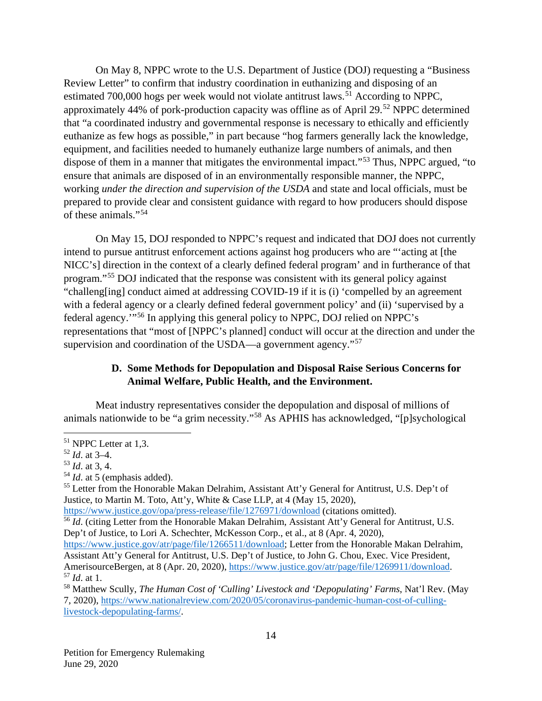On May 8, NPPC wrote to the U.S. Department of Justice (DOJ) requesting a "Business Review Letter" to confirm that industry coordination in euthanizing and disposing of an estimated 700,000 hogs per week would not violate antitrust laws.<sup>[51](#page-14-0)</sup> According to NPPC, approximately 44% of pork-production capacity was offline as of April 29.<sup>[52](#page-14-1)</sup> NPPC determined that "a coordinated industry and governmental response is necessary to ethically and efficiently euthanize as few hogs as possible," in part because "hog farmers generally lack the knowledge, equipment, and facilities needed to humanely euthanize large numbers of animals, and then dispose of them in a manner that mitigates the environmental impact."[53](#page-14-2) Thus, NPPC argued, "to ensure that animals are disposed of in an environmentally responsible manner, the NPPC, working *under the direction and supervision of the USDA* and state and local officials, must be prepared to provide clear and consistent guidance with regard to how producers should dispose of these animals."[54](#page-14-3) 

On May 15, DOJ responded to NPPC's request and indicated that DOJ does not currently intend to pursue antitrust enforcement actions against hog producers who are "'acting at [the NICC's] direction in the context of a clearly defined federal program' and in furtherance of that program."[55](#page-14-4) DOJ indicated that the response was consistent with its general policy against "challeng[ing] conduct aimed at addressing COVID-19 if it is (i) 'compelled by an agreement with a federal agency or a clearly defined federal government policy' and (ii) 'supervised by a federal agency.'"[56](#page-14-5) In applying this general policy to NPPC, DOJ relied on NPPC's representations that "most of [NPPC's planned] conduct will occur at the direction and under the supervision and coordination of the USDA—a government agency."<sup>[57](#page-14-6)</sup>

#### **D. Some Methods for Depopulation and Disposal Raise Serious Concerns for Animal Welfare, Public Health, and the Environment.**

Meat industry representatives consider the depopulation and disposal of millions of animals nationwide to be "a grim necessity."[58](#page-14-7) As APHIS has acknowledged, "[p]sychological

<span id="page-14-0"></span> <sup>51</sup> NPPC Letter at 1,3.

<span id="page-14-1"></span><sup>52</sup> *Id*. at 3–4.

<span id="page-14-2"></span><sup>53</sup> *Id*. at 3, 4.

<span id="page-14-3"></span><sup>54</sup> *Id*. at 5 (emphasis added).

<span id="page-14-4"></span><sup>&</sup>lt;sup>55</sup> Letter from the Honorable Makan Delrahim, Assistant Att'y General for Antitrust, U.S. Dep't of Justice, to Martin M. Toto, Att'y, White & Case LLP, at 4 (May 15, 2020),

<span id="page-14-5"></span><https://www.justice.gov/opa/press-release/file/1276971/download> (citations omitted). <sup>56</sup> *Id.* (citing Letter from the Honorable Makan Delrahim, Assistant Att'y General for Antitrust, U.S. Dep't of Justice, to Lori A. Schechter, McKesson Corp., et al., at 8 (Apr. 4, 2020),

[https://www.justice.gov/atr/page/file/1266511/download;](https://www.justice.gov/atr/page/file/1266511/download) Letter from the Honorable Makan Delrahim, Assistant Att'y General for Antitrust, U.S. Dep't of Justice, to John G. Chou, Exec. Vice President, AmerisourceBergen, at 8 (Apr. 20, 2020), [https://www.justice.gov/atr/page/file/1269911/download.](https://www.justice.gov/atr/page/file/1269911/download) <sup>57</sup> *Id*. at 1.

<span id="page-14-7"></span><span id="page-14-6"></span><sup>58</sup> Matthew Scully, *The Human Cost of 'Culling' Livestock and 'Depopulating' Farms*, Nat'l Rev. (May 7, 2020), [https://www.nationalreview.com/2020/05/coronavirus-pandemic-human-cost-of-culling](https://www.nationalreview.com/2020/05/coronavirus-pandemic-human-cost-of-culling-livestock-depopulating-farms/)[livestock-depopulating-farms/.](https://www.nationalreview.com/2020/05/coronavirus-pandemic-human-cost-of-culling-livestock-depopulating-farms/)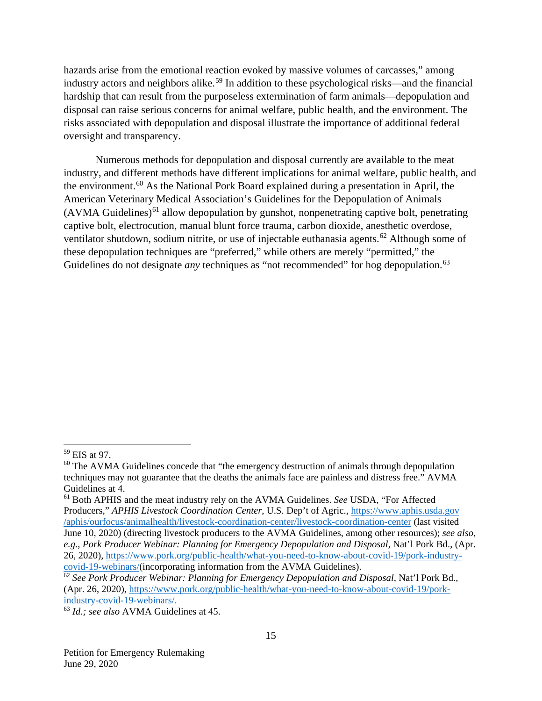hazards arise from the emotional reaction evoked by massive volumes of carcasses," among industry actors and neighbors alike.<sup>[59](#page-15-0)</sup> In addition to these psychological risks—and the financial hardship that can result from the purposeless extermination of farm animals—depopulation and disposal can raise serious concerns for animal welfare, public health, and the environment. The risks associated with depopulation and disposal illustrate the importance of additional federal oversight and transparency.

Numerous methods for depopulation and disposal currently are available to the meat industry, and different methods have different implications for animal welfare, public health, and the environment.<sup>[60](#page-15-1)</sup> As the National Pork Board explained during a presentation in April, the American Veterinary Medical Association's Guidelines for the Depopulation of Animals  $(AVMA\,Guidelines)^{61}$  $(AVMA\,Guidelines)^{61}$  $(AVMA\,Guidelines)^{61}$  allow depopulation by gunshot, nonpenetrating captive bolt, penetrating captive bolt, electrocution, manual blunt force trauma, carbon dioxide, anesthetic overdose, ventilator shutdown, sodium nitrite, or use of injectable euthanasia agents.<sup>[62](#page-15-3)</sup> Although some of these depopulation techniques are "preferred," while others are merely "permitted," the Guidelines do not designate *any* techniques as "not recommended" for hog depopulation.<sup>[63](#page-15-4)</sup>

<span id="page-15-0"></span> <sup>59</sup> EIS at 97.

<span id="page-15-1"></span> $60$  The AVMA Guidelines concede that "the emergency destruction of animals through depopulation techniques may not guarantee that the deaths the animals face are painless and distress free." AVMA Guidelines at 4.

<span id="page-15-2"></span><sup>61</sup> Both APHIS and the meat industry rely on the AVMA Guidelines. *See* USDA, "For Affected Producers," *APHIS Livestock Coordination Center*, U.S. Dep't of Agric., [https://www.aphis.usda.gov](https://www.aphis.usda.gov/aphis/ourfocus/animalhealth/livestock-coordination-center/livestock-coordination-center) [/aphis/ourfocus/animalhealth/livestock-coordination-center/livestock-coordination-center](https://www.aphis.usda.gov/aphis/ourfocus/animalhealth/livestock-coordination-center/livestock-coordination-center) (last visited

June 10, 2020) (directing livestock producers to the AVMA Guidelines, among other resources); *see also, e.g.*, *Pork Producer Webinar: Planning for Emergency Depopulation and Disposal,* Nat'l Pork Bd., (Apr. 26, 2020), https://www.pork.org/public-health/what-you-need-to-know-about-covid-19/pork-industry-<br>covid-19-webinars/(incorporating information from the AVMA Guidelines).

<span id="page-15-3"></span><sup>&</sup>lt;sup>[62](https://www.pork.org/public-health/what-you-need-to-know-about-covid-19/pork-industry-covid-19-webinars/)</sup> See Pork Producer Webinar: Planning for Emergency Depopulation and Disposal, Nat'l Pork Bd., (Apr. 26, 2020), [https://www.pork.org/public-health/what-you-need-to-know-about-covid-19/pork](https://www.pork.org/public-health/what-you-need-to-know-about-covid-19/pork-industry-covid-19-webinars/)[industry-covid-19-webinars/.](https://www.pork.org/public-health/what-you-need-to-know-about-covid-19/pork-industry-covid-19-webinars/)

<span id="page-15-4"></span><sup>63</sup> *Id.; see also* AVMA Guidelines at 45.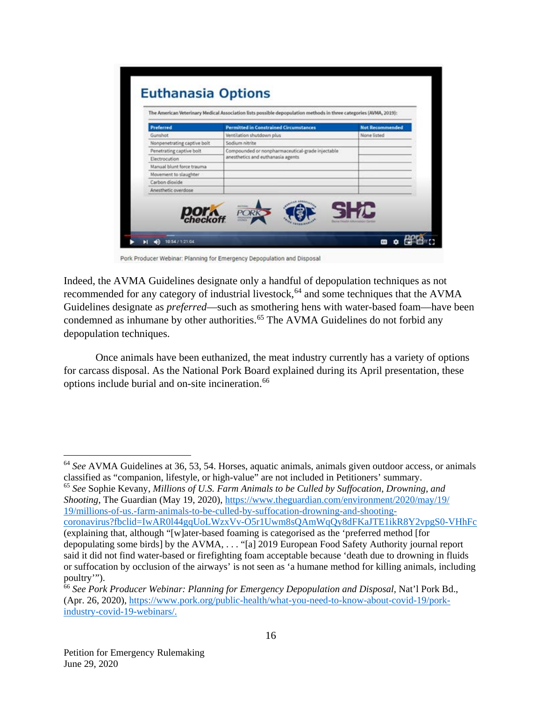|                             |                                                                                       | <b>Not Recommended</b> |
|-----------------------------|---------------------------------------------------------------------------------------|------------------------|
| Gunshot                     | Ventilation shutdown plus                                                             | None listed            |
| Nonpenetrating captive bolt | Sodium nitrite                                                                        |                        |
| Penetrating captive bolt    | Compounded or nonpharmaceutical-grade injectable<br>anesthetics and euthanasia agents |                        |
| Electrocution               |                                                                                       |                        |
| Manual blunt force trauma   |                                                                                       |                        |
| Movement to slaughter       |                                                                                       |                        |
| Carbon dioxide              |                                                                                       |                        |
| Anesthetic overdose         |                                                                                       |                        |

Pork Producer Webinar: Planning for Emergency Depopulation and Disposal

Indeed, the AVMA Guidelines designate only a handful of depopulation techniques as not recommended for any category of industrial livestock,<sup>[64](#page-16-0)</sup> and some techniques that the AVMA Guidelines designate as *preferred*—such as smothering hens with water-based foam—have been condemned as inhumane by other authorities.<sup>[65](#page-16-1)</sup> The AVMA Guidelines do not forbid any depopulation techniques.

Once animals have been euthanized, the meat industry currently has a variety of options for carcass disposal. As the National Pork Board explained during its April presentation, these options include burial and on-site incineration.<sup>[66](#page-16-2)</sup>

<span id="page-16-1"></span><sup>65</sup> *See* Sophie Kevany, *Millions of U.S. Farm Animals to be Culled by Suffocation, Drowning, and Shooting*, The Guardian (May 19, 2020), [https://www.theguardian.com/environment/2020/may/19/](https://www.theguardian.com/environment/2020/may/19/millions-of-us-farm-animals-to-be-culled-by-suffocation-drowning-and-shooting-coronavirus?fbclid=IwAR0l44gqUoLWzxVv-O5r1Uwm8sQAmWqQy8dFKaJTE1ikR8Y2vpgS0-VHhFc) [19/millions-of-us.-farm-animals-to-be-culled-by-suffocation-drowning-and-shooting](https://www.aphis.usda.gov/aphis/newsroom/stakeholder-info/sa_by_date/sa-2020/sa-04/meat-processing-coordination-center)[coronavirus?fbclid=IwAR0l44gqUoLWzxVv-O5r1Uwm8sQAmWqQy8dFKaJTE1ikR8Y2vpgS0-VHhFc](https://www.aphis.usda.gov/aphis/newsroom/stakeholder-info/sa_by_date/sa-2020/sa-04/meat-processing-coordination-center) (explaining that, although "[w]ater-based foaming is categorised as the 'preferred method [for depopulating some birds] by the AVMA, . . . "[a] 2019 European Food Safety Authority journal report said it did not find water-based or firefighting foam acceptable because 'death due to drowning in fluids or suffocation by occlusion of the airways' is not seen as 'a humane method for killing animals, including poultry"").

<span id="page-16-0"></span> <sup>64</sup> *See* AVMA Guidelines at 36, 53, 54. Horses, aquatic animals, animals given outdoor access, or animals classified as "companion, lifestyle, or high-value" are not included in Petitioners' summary.

<span id="page-16-2"></span><sup>66</sup> *See Pork Producer Webinar: Planning for Emergency Depopulation and Disposal,* Nat'l Pork Bd., (Apr. 26, 2020), [https://www.pork.org/public-health/what-you-need-to-know-about-covid-19/pork](https://www.pork.org/public-health/what-you-need-to-know-about-covid-19/pork-industry-covid-19-webinars/)[industry-covid-19-webinars/.](https://www.pork.org/public-health/what-you-need-to-know-about-covid-19/pork-industry-covid-19-webinars/)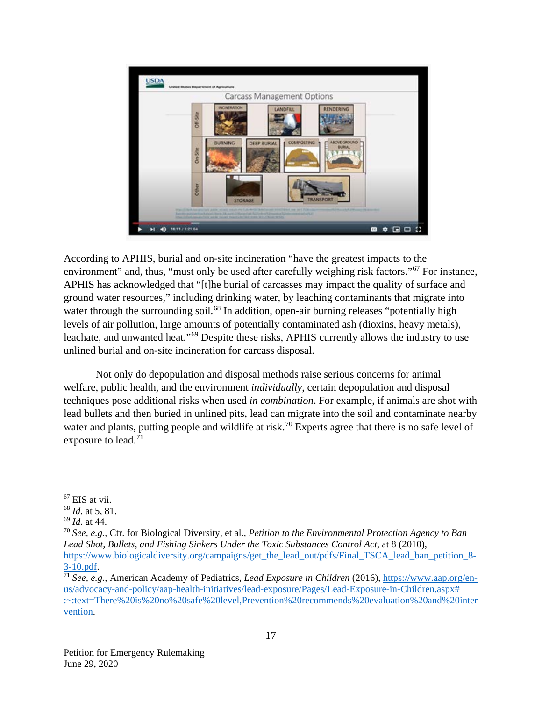

According to APHIS, burial and on-site incineration "have the greatest impacts to the environment" and, thus, "must only be used after carefully weighing risk factors."<sup>[67](#page-17-0)</sup> For instance, APHIS has acknowledged that "[t]he burial of carcasses may impact the quality of surface and ground water resources," including drinking water, by leaching contaminants that migrate into water through the surrounding soil.<sup>[68](#page-17-1)</sup> In addition, open-air burning releases "potentially high levels of air pollution, large amounts of potentially contaminated ash (dioxins, heavy metals), leachate, and unwanted heat."[69](#page-17-2) Despite these risks, APHIS currently allows the industry to use unlined burial and on-site incineration for carcass disposal.

Not only do depopulation and disposal methods raise serious concerns for animal welfare, public health, and the environment *individually*, certain depopulation and disposal techniques pose additional risks when used *in combination*. For example, if animals are shot with lead bullets and then buried in unlined pits, lead can migrate into the soil and contaminate nearby water and plants, putting people and wildlife at risk.<sup>[70](#page-17-3)</sup> Experts agree that there is no safe level of exposure to lead.<sup>[71](#page-17-4)</sup>

<span id="page-17-0"></span> <sup>67</sup> EIS at vii.

<span id="page-17-1"></span><sup>68</sup> *Id.* at 5, 81.

<span id="page-17-2"></span><sup>69</sup> *Id.* at 44.

<span id="page-17-3"></span><sup>70</sup> *See, e.g.*, Ctr. for Biological Diversity, et al., *Petition to the Environmental Protection Agency to Ban Lead Shot, Bullets, and Fishing Sinkers Under the Toxic Substances Control Act*, at 8 (2010), [https://www.biologicaldiversity.org/campaigns/get\\_the\\_lead\\_out/pdfs/Final\\_TSCA\\_lead\\_ban\\_petition\\_8-](https://www.biologicaldiversity.org/campaigns/get_the_lead_out/pdfs/Final_TSCA_lead_ban_petition_8-3-10.pdf)  $3-10.pdf$ .

<span id="page-17-4"></span><sup>71</sup> *See, e.g.*, American Academy of Pediatrics, *Lead Exposure in Children* (2016)[, https://www.aap.org/en](https://www.aap.org/en-us/advocacy-and-policy/aap-health-initiatives/lead-exposure/Pages/Lead-Exposure-in-Children.aspx#:%7E:text=There%20is%20no%20safe%20level,Prevention%20recommends%20evaluation%20and%20intervention.)[us/advocacy-and-policy/aap-health-initiatives/lead-exposure/Pages/Lead-Exposure-in-Children.aspx#](https://www.aap.org/en-us/advocacy-and-policy/aap-health-initiatives/lead-exposure/Pages/Lead-Exposure-in-Children.aspx#:%7E:text=There%20is%20no%20safe%20level,Prevention%20recommends%20evaluation%20and%20intervention.)  [:~:text=There%20is%20no%20safe%20level,Prevention%20recommends%20evaluation%20and%20inter](https://www.aap.org/en-us/advocacy-and-policy/aap-health-initiatives/lead-exposure/Pages/Lead-Exposure-in-Children.aspx#:%7E:text=There%20is%20no%20safe%20level,Prevention%20recommends%20evaluation%20and%20intervention.) [vention.](https://www.aap.org/en-us/advocacy-and-policy/aap-health-initiatives/lead-exposure/Pages/Lead-Exposure-in-Children.aspx#:%7E:text=There%20is%20no%20safe%20level,Prevention%20recommends%20evaluation%20and%20intervention.)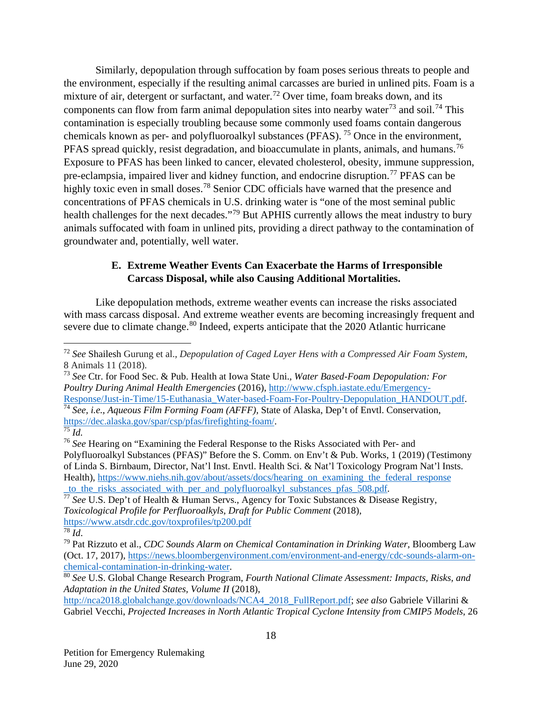Similarly, depopulation through suffocation by foam poses serious threats to people and the environment, especially if the resulting animal carcasses are buried in unlined pits. Foam is a mixture of air, detergent or surfactant, and water.<sup>[72](#page-18-0)</sup> Over time, foam breaks down, and its components can flow from farm animal depopulation sites into nearby water<sup>[73](#page-18-1)</sup> and soil.<sup>[74](#page-18-2)</sup> This contamination is especially troubling because some commonly used foams contain dangerous chemicals known as per- and polyfluoroalkyl substances (PFAS). [75](#page-18-3) Once in the environment, PFAS spread quickly, resist degradation, and bioaccumulate in plants, animals, and humans.<sup>[76](#page-18-4)</sup> Exposure to PFAS has been linked to cancer, elevated cholesterol, obesity, immune suppression, pre-eclampsia, impaired liver and kidney function, and endocrine disruption.<sup>[77](#page-18-5)</sup> PFAS can be highly toxic even in small doses.<sup>[78](#page-18-6)</sup> Senior CDC officials have warned that the presence and concentrations of PFAS chemicals in U.S. drinking water is "one of the most seminal public health challenges for the next decades."<sup>[79](#page-18-7)</sup> But APHIS currently allows the meat industry to bury animals suffocated with foam in unlined pits, providing a direct pathway to the contamination of groundwater and, potentially, well water.

### **E. Extreme Weather Events Can Exacerbate the Harms of Irresponsible Carcass Disposal, while also Causing Additional Mortalities.**

Like depopulation methods, extreme weather events can increase the risks associated with mass carcass disposal. And extreme weather events are becoming increasingly frequent and severe due to climate change.<sup>[80](#page-18-8)</sup> Indeed, experts anticipate that the 2020 Atlantic hurricane

<span id="page-18-1"></span><sup>73</sup> *See* Ctr. for Food Sec. & Pub. Health at Iowa State Uni., *Water Based-Foam Depopulation: For Poultry During Animal Health Emergencies* (2016), [http://www.cfsph.iastate.edu/Emergency-](http://www.cfsph.iastate.edu/Emergency-Response/Just-in-Time/15-Euthanasia_Water-based-Foam-For-Poultry-Depopulation_HANDOUT.pdf)[Response/Just-in-Time/15-Euthanasia\\_Water-based-Foam-For-Poultry-Depopulation\\_HANDOUT.pdf.](http://www.cfsph.iastate.edu/Emergency-Response/Just-in-Time/15-Euthanasia_Water-based-Foam-For-Poultry-Depopulation_HANDOUT.pdf) <sup>74</sup> *See, i.e., Aqueous Film Forming Foam (AFFF),* State of Alaska, Dep't of Envtl. Conservation, [https://dec.alaska.gov/spar/csp/pfas/firefighting-foam/.](https://dec.alaska.gov/spar/csp/pfas/firefighting-foam/)

[http://nca2018.globalchange.gov/downloads/NCA4\\_2018\\_FullReport.pdf;](http://nca2018.globalchange.gov/downloads/NCA4_2018_FullReport.pdf) *see also* Gabriele Villarini & Gabriel Vecchi, *Projected Increases in North Atlantic Tropical Cyclone Intensity from CMIP5 Models*, 26

<span id="page-18-0"></span> <sup>72</sup> *See* Shailesh Gurung et al., *Depopulation of Caged Layer Hens with a Compressed Air Foam System*, 8 Animals 11 (2018).

<span id="page-18-3"></span><span id="page-18-2"></span> $\overline{75}$   $\overline{l}d$ .

<span id="page-18-4"></span><sup>76</sup> *See* Hearing on "Examining the Federal Response to the Risks Associated with Per- and Polyfluoroalkyl Substances (PFAS)" Before the S. Comm. on Env't & Pub. Works, 1 (2019) (Testimony of Linda S. Birnbaum, Director, Nat'l Inst. Envtl. Health Sci. & Nat'l Toxicology Program Nat'l Insts. Health), [https://www.niehs.nih.gov/about/assets/docs/hearing\\_on\\_examining\\_the\\_federal\\_response](https://www.niehs.nih.gov/about/assets/docs/hearing_on_examining_the_federal_response_to_the_risks_associated_with_per_and_polyfluoroalkyl_substances_pfas_508.pdf) to the risks associated\_with\_per\_and\_polyfluoroalkyl\_substances\_pfas\_508.pdf.

<span id="page-18-5"></span><sup>77</sup> *See* U.S. Dep't of Health & Human Servs., Agency for Toxic Substances & Disease Registry, *Toxicological Profile for Perfluoroalkyls, Draft for Public Comment* (2018), <https://www.atsdr.cdc.gov/toxprofiles/tp200.pdf>

<span id="page-18-6"></span> $\overline{78}$   $\overline{Id}$ .

<span id="page-18-7"></span><sup>79</sup> Pat Rizzuto et al., *CDC Sounds Alarm on Chemical Contamination in Drinking Water*, Bloomberg Law (Oct. 17, 2017), [https://news.bloombergenvironment.com/environment-and-energy/cdc-sounds-alarm-on](https://news.bloombergenvironment.com/environment-and-energy/cdc-sounds-alarm-on-chemical-contamination-in-drinking-water)[chemical-contamination-in-drinking-water.](https://news.bloombergenvironment.com/environment-and-energy/cdc-sounds-alarm-on-chemical-contamination-in-drinking-water)

<span id="page-18-8"></span><sup>80</sup> *See* U.S. Global Change Research Program, *Fourth National Climate Assessment: Impacts, Risks, and Adaptation in the United States, Volume II* (2018),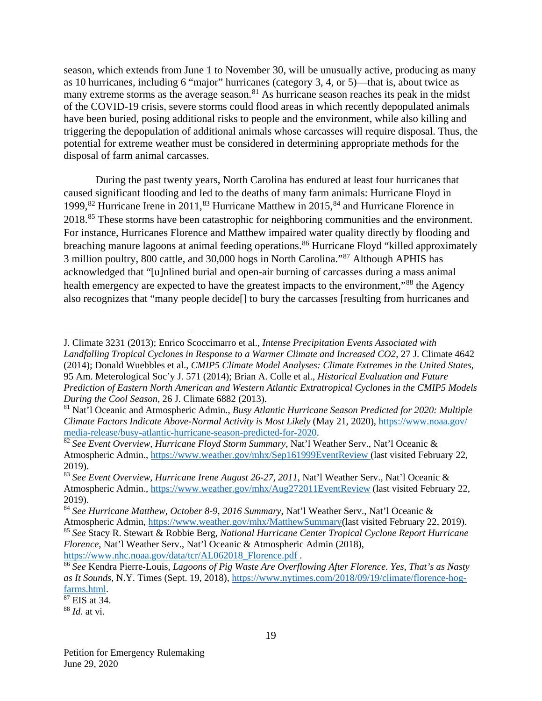season, which extends from June 1 to November 30, will be unusually active, producing as many as 10 hurricanes, including 6 "major" hurricanes (category 3, 4, or 5)—that is, about twice as many extreme storms as the average season. $81$  As hurricane season reaches its peak in the midst of the COVID-19 crisis, severe storms could flood areas in which recently depopulated animals have been buried, posing additional risks to people and the environment, while also killing and triggering the depopulation of additional animals whose carcasses will require disposal. Thus, the potential for extreme weather must be considered in determining appropriate methods for the disposal of farm animal carcasses.

During the past twenty years, North Carolina has endured at least four hurricanes that caused significant flooding and led to the deaths of many farm animals: Hurricane Floyd in 1999,<sup>[82](#page-19-1)</sup> Hurricane Irene in 2011,<sup>[83](#page-19-2)</sup> Hurricane Matthew in 2015,<sup>[84](#page-19-3)</sup> and Hurricane Florence in 2018.[85](#page-19-4) These storms have been catastrophic for neighboring communities and the environment. For instance, Hurricanes Florence and Matthew impaired water quality directly by flooding and breaching manure lagoons at animal feeding operations.<sup>[86](#page-19-5)</sup> Hurricane Floyd "killed approximately 3 million poultry, 800 cattle, and 30,000 hogs in North Carolina."[87](#page-19-6) Although APHIS has acknowledged that "[u]nlined burial and open-air burning of carcasses during a mass animal health emergency are expected to have the greatest impacts to the environment,"<sup>[88](#page-19-7)</sup> the Agency also recognizes that "many people decide[] to bury the carcasses [resulting from hurricanes and

<span id="page-19-6"></span> $87$  EIS at 34.

 $\overline{a}$ 

J. Climate 3231 (2013); Enrico Scoccimarro et al., *Intense Precipitation Events Associated with Landfalling Tropical Cyclones in Response to a Warmer Climate and Increased CO2*, 27 J. Climate 4642 (2014); Donald Wuebbles et al., *CMIP5 Climate Model Analyses: Climate Extremes in the United States*, 95 Am. Meterological Soc'y J. 571 (2014); Brian A. Colle et al., *Historical Evaluation and Future Prediction of Eastern North American and Western Atlantic Extratropical Cyclones in the CMIP5 Models During the Cool Season*, 26 J. Climate 6882 (2013).

<span id="page-19-0"></span><sup>81</sup> Nat'l Oceanic and Atmospheric Admin., *Busy Atlantic Hurricane Season Predicted for 2020: Multiple Climate Factors Indicate Above-Normal Activity is Most Likely* (May 21, 2020), [https://www.noaa.gov/](https://www.noaa.gov/%20media-release/busy-atlantic-hurricane-season-predicted-for-2020)  [media-release/busy-atlantic-hurricane-season-predicted-for-2020.](https://www.noaa.gov/%20media-release/busy-atlantic-hurricane-season-predicted-for-2020)

<span id="page-19-1"></span><sup>82</sup> *See Event Overview, Hurricane Floyd Storm Summary*, Nat'l Weather Serv., Nat'l Oceanic & Atmospheric Admin.,<https://www.weather.gov/mhx/Sep161999EventReview> (last visited February 22, 2019).

<span id="page-19-2"></span><sup>83</sup> *See Event Overview, Hurricane Irene August 26-27, 2011,* Nat'l Weather Serv., Nat'l Oceanic & Atmospheric Admin.,<https://www.weather.gov/mhx/Aug272011EventReview> (last visited February 22, 2019).

<span id="page-19-3"></span><sup>84</sup> *See Hurricane Matthew, October 8-9, 2016 Summary*, Nat'l Weather Serv., Nat'l Oceanic & Atmospheric Admin, [https://www.weather.gov/mhx/MatthewSummary\(](https://www.weather.gov/mhx/MatthewSummary)last visited February 22, 2019).

<span id="page-19-4"></span><sup>85</sup> *See* Stacy R. Stewart & Robbie Berg, *National Hurricane Center Tropical Cyclone Report Hurricane Florence*, Nat'l Weather Serv., Nat'l Oceanic & Atmospheric Admin (2018), https://www.nhc.noaa.gov/data/tcr/AL062018\_Florence.pdf.

<span id="page-19-5"></span><sup>&</sup>lt;sup>86</sup> See Kendra Pierre-Louis, *Lagoons of Pig Waste Are Overflowing After Florence. Yes, That's as Nasty as It Sounds*, N.Y. Times (Sept. 19, 2018), [https://www.nytimes.com/2018/09/19/climate/florence-hog](https://www.nytimes.com/2018/09/19/climate/florence-hog-farms.html)[farms.html.](https://www.nytimes.com/2018/09/19/climate/florence-hog-farms.html)

<span id="page-19-7"></span><sup>88</sup> *Id*. at vi.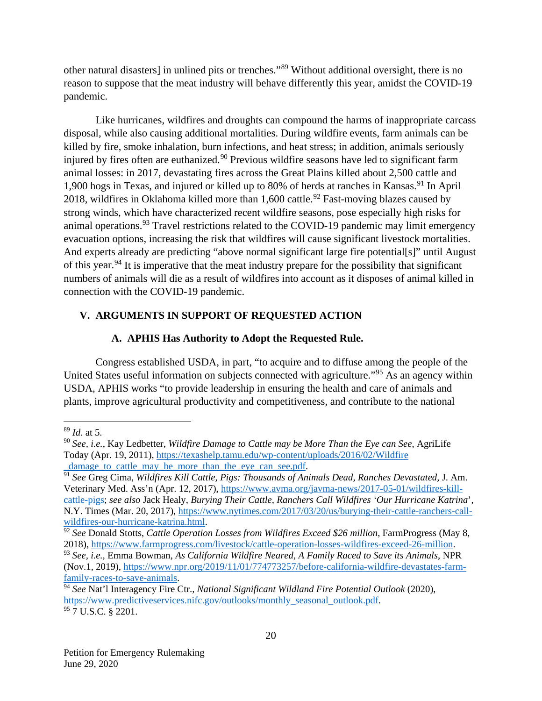other natural disasters] in unlined pits or trenches."[89](#page-20-0) Without additional oversight, there is no reason to suppose that the meat industry will behave differently this year, amidst the COVID-19 pandemic.

Like hurricanes, wildfires and droughts can compound the harms of inappropriate carcass disposal, while also causing additional mortalities. During wildfire events, farm animals can be killed by fire, smoke inhalation, burn infections, and heat stress; in addition, animals seriously injured by fires often are euthanized.<sup>[90](#page-20-1)</sup> Previous wildfire seasons have led to significant farm animal losses: in 2017, devastating fires across the Great Plains killed about 2,500 cattle and 1,900 hogs in Texas, and injured or killed up to 80% of herds at ranches in Kansas.<sup>[91](#page-20-2)</sup> In April 2018, wildfires in Oklahoma killed more than  $1,600$  cattle.<sup>[92](#page-20-3)</sup> Fast-moving blazes caused by strong winds, which have characterized recent wildfire seasons, pose especially high risks for animal operations.<sup>[93](#page-20-4)</sup> Travel restrictions related to the COVID-19 pandemic may limit emergency evacuation options, increasing the risk that wildfires will cause significant livestock mortalities. And experts already are predicting "above normal significant large fire potential[s]" until August of this year.<sup>[94](#page-20-5)</sup> It is imperative that the meat industry prepare for the possibility that significant numbers of animals will die as a result of wildfires into account as it disposes of animal killed in connection with the COVID-19 pandemic.

#### **V. ARGUMENTS IN SUPPORT OF REQUESTED ACTION**

#### **A. APHIS Has Authority to Adopt the Requested Rule.**

Congress established USDA, in part, "to acquire and to diffuse among the people of the United States useful information on subjects connected with agriculture."[95](#page-20-6) As an agency within USDA, APHIS works "to provide leadership in ensuring the health and care of animals and plants, improve agricultural productivity and competitiveness, and contribute to the national

<span id="page-20-0"></span> <sup>89</sup> *Id*. at 5.

<span id="page-20-1"></span><sup>90</sup> *See, i.e.*, Kay Ledbetter, *Wildfire Damage to Cattle may be More Than the Eye can See*, AgriLife Today (Apr. 19, 2011), [https://texashelp.tamu.edu/wp-content/uploads/2016/02/Wildfire](https://texashelp.tamu.edu/wp-content/uploads/2016/02/Wildfire_damage_to_cattle_may_be_more_than_the_eye_can_see.pdf) damage to cattle may be more than the eye can see.pdf.

<span id="page-20-2"></span><sup>91</sup> *See* Greg Cima, *Wildfires Kill Cattle, Pigs: Thousands of Animals Dead, Ranches Devastated,* J. Am. Veterinary Med. Ass'n (Apr. 12, 2017), [https://www.avma.org/javma-news/2017-05-01/wildfires-kill](https://www.avma.org/javma-news/2017-05-01/wildfires-kill-cattle-pigs)[cattle-pigs;](https://www.avma.org/javma-news/2017-05-01/wildfires-kill-cattle-pigs) *see also* Jack Healy, *Burying Their Cattle, Ranchers Call Wildfires 'Our Hurricane Katrina*', N.Y. Times (Mar. 20, 2017), [https://www.nytimes.com/2017/03/20/us/burying-their-cattle-ranchers-call](https://www.nytimes.com/2017/03/20/us/burying-their-cattle-ranchers-call-wildfires-our-hurricane-katrina.html)[wildfires-our-hurricane-katrina.html.](https://www.nytimes.com/2017/03/20/us/burying-their-cattle-ranchers-call-wildfires-our-hurricane-katrina.html)

<span id="page-20-3"></span><sup>&</sup>lt;sup>92</sup> See Donald Stotts, *Cattle Operation Losses from Wildfires Exceed \$26 million*, FarmProgress (May 8, 2018), [https://www.farmprogress.com/livestock/cattle-operation-losses-wildfires-exceed-26-million.](https://www.farmprogress.com/livestock/cattle-operation-losses-wildfires-exceed-26-million)

<span id="page-20-4"></span><sup>93</sup> *See, i.e.,* Emma Bowman, *As California Wildfire Neared, A Family Raced to Save its Animals*, NPR (Nov.1, 2019), [https://www.npr.org/2019/11/01/774773257/before-california-wildfire-devastates-farm](https://www.npr.org/2019/11/01/774773257/before-california-wildfire-devastates-farm-family-races-to-save-animals)[family-races-to-save-animals.](https://www.npr.org/2019/11/01/774773257/before-california-wildfire-devastates-farm-family-races-to-save-animals)

<span id="page-20-5"></span><sup>94</sup> *See* Nat'l Interagency Fire Ctr., *National Significant Wildland Fire Potential Outlook* (2020), [https://www.predictiveservices.nifc.gov/outlooks/monthly\\_seasonal\\_outlook.pdf.](https://www.predictiveservices.nifc.gov/outlooks/monthly_seasonal_outlook.pdf)  $\frac{95}{7}$  U.S.C. § 2201.

<span id="page-20-6"></span>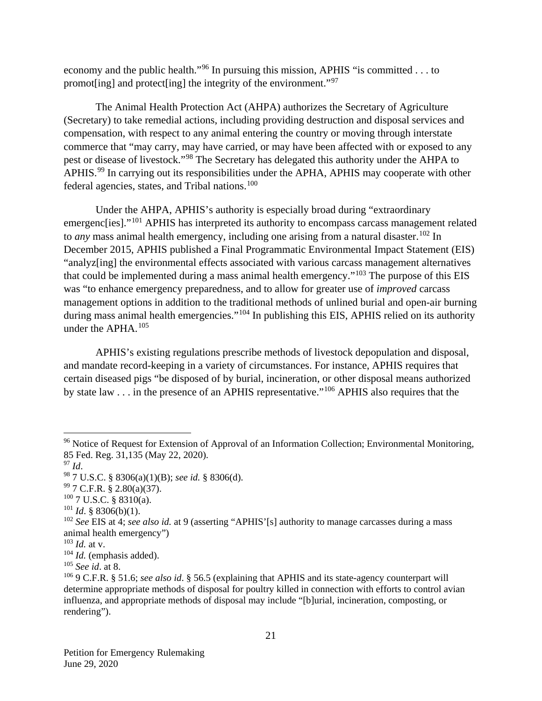economy and the public health."[96](#page-21-0) In pursuing this mission, APHIS "is committed . . . to promot[ing] and protect[ing] the integrity of the environment."[97](#page-21-1)

The Animal Health Protection Act (AHPA) authorizes the Secretary of Agriculture (Secretary) to take remedial actions, including providing destruction and disposal services and compensation, with respect to any animal entering the country or moving through interstate commerce that "may carry, may have carried, or may have been affected with or exposed to any pest or disease of livestock."[98](#page-21-2) The Secretary has delegated this authority under the AHPA to APHIS.<sup>[99](#page-21-3)</sup> In carrying out its responsibilities under the APHA, APHIS may cooperate with other federal agencies, states, and Tribal nations.<sup>[100](#page-21-4)</sup>

Under the AHPA, APHIS's authority is especially broad during "extraordinary emergenc[ies]."<sup>[101](#page-21-5)</sup> APHIS has interpreted its authority to encompass carcass management related to *any* mass animal health emergency, including one arising from a natural disaster.<sup>[102](#page-21-6)</sup> In December 2015, APHIS published a Final Programmatic Environmental Impact Statement (EIS) "analyz[ing] the environmental effects associated with various carcass management alternatives that could be implemented during a mass animal health emergency."<sup>[103](#page-21-7)</sup> The purpose of this EIS was "to enhance emergency preparedness, and to allow for greater use of *improved* carcass management options in addition to the traditional methods of unlined burial and open-air burning during mass animal health emergencies."<sup>[104](#page-21-8)</sup> In publishing this EIS, APHIS relied on its authority under the APHA.<sup>[105](#page-21-9)</sup>

APHIS's existing regulations prescribe methods of livestock depopulation and disposal, and mandate record-keeping in a variety of circumstances. For instance, APHIS requires that certain diseased pigs "be disposed of by burial, incineration, or other disposal means authorized by state law . . . in the presence of an APHIS representative."[106](#page-21-10) APHIS also requires that the

<span id="page-21-0"></span><sup>&</sup>lt;sup>96</sup> Notice of Request for Extension of Approval of an Information Collection; Environmental Monitoring, 85 Fed. Reg. 31,135 (May 22, 2020).

<span id="page-21-1"></span><sup>97</sup> *Id*.

<span id="page-21-2"></span><sup>98</sup> 7 U.S.C. § 8306(a)(1)(B); *see id.* § 8306(d).

<span id="page-21-3"></span> $99$  7 C.F.R. § 2.80(a)(37).

<span id="page-21-4"></span> $100$  7 U.S.C. § 8310(a).

<span id="page-21-5"></span><sup>101</sup> *Id*. § 8306(b)(1).

<span id="page-21-6"></span><sup>&</sup>lt;sup>102</sup> *See* EIS at 4; *see also id.* at 9 (asserting "APHIS'[s] authority to manage carcasses during a mass animal health emergency")

<span id="page-21-7"></span><sup>103</sup> *Id.* at v.

<span id="page-21-8"></span><sup>104</sup> *Id.* (emphasis added).

<span id="page-21-9"></span><sup>105</sup> *See id*. at 8.

<span id="page-21-10"></span><sup>106</sup> 9 C.F.R. § 51.6; *see also id*. § 56.5 (explaining that APHIS and its state-agency counterpart will determine appropriate methods of disposal for poultry killed in connection with efforts to control avian influenza, and appropriate methods of disposal may include "[b]urial, incineration, composting, or rendering").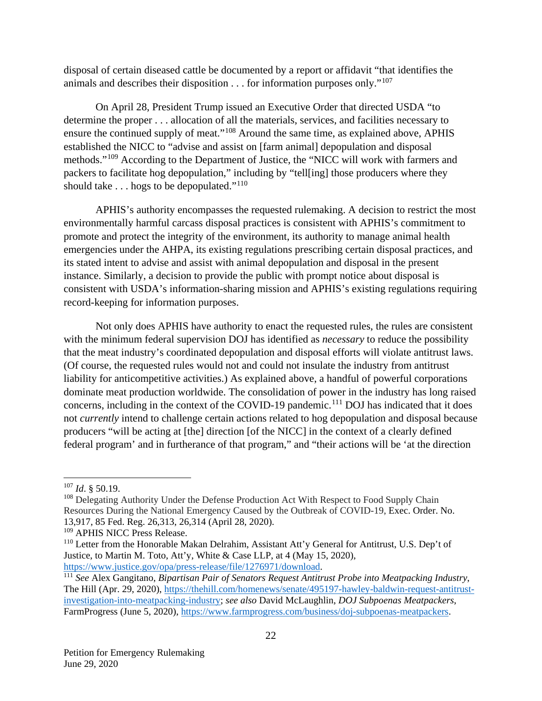disposal of certain diseased cattle be documented by a report or affidavit "that identifies the animals and describes their disposition  $\dots$  for information purposes only."<sup>[107](#page-22-0)</sup>

On April 28, President Trump issued an Executive Order that directed USDA "to determine the proper . . . allocation of all the materials, services, and facilities necessary to ensure the continued supply of meat."[108](#page-22-1) Around the same time, as explained above, APHIS established the NICC to "advise and assist on [farm animal] depopulation and disposal methods."[109](#page-22-2) According to the Department of Justice, the "NICC will work with farmers and packers to facilitate hog depopulation," including by "tell[ing] those producers where they should take . . . hogs to be depopulated."<sup>110</sup>

APHIS's authority encompasses the requested rulemaking. A decision to restrict the most environmentally harmful carcass disposal practices is consistent with APHIS's commitment to promote and protect the integrity of the environment, its authority to manage animal health emergencies under the AHPA, its existing regulations prescribing certain disposal practices, and its stated intent to advise and assist with animal depopulation and disposal in the present instance. Similarly, a decision to provide the public with prompt notice about disposal is consistent with USDA's information-sharing mission and APHIS's existing regulations requiring record-keeping for information purposes.

Not only does APHIS have authority to enact the requested rules, the rules are consistent with the minimum federal supervision DOJ has identified as *necessary* to reduce the possibility that the meat industry's coordinated depopulation and disposal efforts will violate antitrust laws. (Of course, the requested rules would not and could not insulate the industry from antitrust liability for anticompetitive activities.) As explained above, a handful of powerful corporations dominate meat production worldwide. The consolidation of power in the industry has long raised concerns, including in the context of the COVID-19 pandemic.<sup>[111](#page-22-4)</sup> DOJ has indicated that it does not *currently* intend to challenge certain actions related to hog depopulation and disposal because producers "will be acting at [the] direction [of the NICC] in the context of a clearly defined federal program' and in furtherance of that program," and "their actions will be 'at the direction

<span id="page-22-0"></span> <sup>107</sup> *Id*. § 50.19.

<span id="page-22-1"></span><sup>&</sup>lt;sup>108</sup> Delegating Authority Under the Defense Production Act With Respect to Food Supply Chain Resources During the National Emergency Caused by the Outbreak of COVID-19, Exec. Order. No. 13,917, 85 Fed. Reg. 26,313, 26,314 (April 28, 2020).

<span id="page-22-2"></span><sup>&</sup>lt;sup>109</sup> APHIS NICC Press Release.

<span id="page-22-3"></span><sup>110</sup> Letter from the Honorable Makan Delrahim, Assistant Att'y General for Antitrust, U.S. Dep't of Justice, to Martin M. Toto, Att'y, White & Case LLP, at 4 (May 15, 2020), [https://www.justice.gov/opa/press-release/file/1276971/download.](https://www.justice.gov/opa/press-release/file/1276971/download)

<span id="page-22-4"></span><sup>111</sup> *See* Alex Gangitano, *Bipartisan Pair of Senators Request Antitrust Probe into Meatpacking Industry*, The Hill (Apr. 29, 2020), [https://thehill.com/homenews/senate/495197-hawley-baldwin-request-antitrust](https://thehill.com/homenews/senate/495197-hawley-baldwin-request-antitrust-investigation-into-meatpacking-industry)[investigation-into-meatpacking-industry;](https://thehill.com/homenews/senate/495197-hawley-baldwin-request-antitrust-investigation-into-meatpacking-industry) *see also* David McLaughlin, *DOJ Subpoenas Meatpackers*, FarmProgress (June 5, 2020), [https://www.farmprogress.com/business/doj-subpoenas-meatpackers.](https://www.farmprogress.com/business/doj-subpoenas-meatpackers)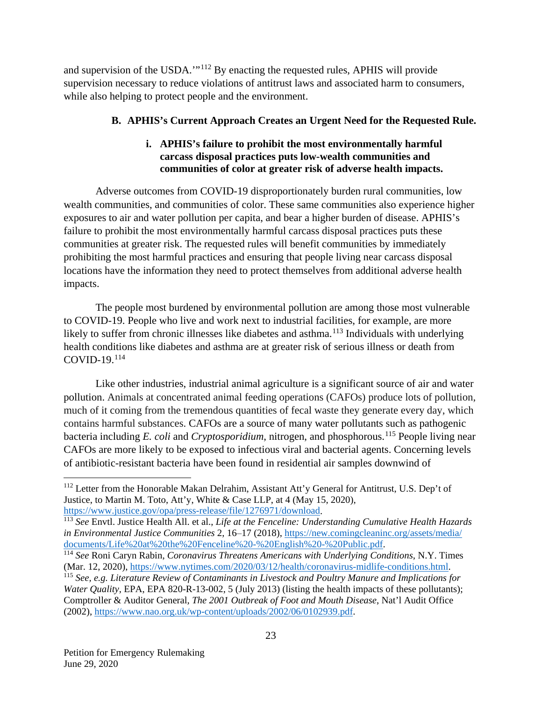and supervision of the USDA.'"[112](#page-23-0) By enacting the requested rules, APHIS will provide supervision necessary to reduce violations of antitrust laws and associated harm to consumers, while also helping to protect people and the environment.

# **B. APHIS's Current Approach Creates an Urgent Need for the Requested Rule.**

### **i. APHIS's failure to prohibit the most environmentally harmful carcass disposal practices puts low-wealth communities and communities of color at greater risk of adverse health impacts.**

Adverse outcomes from COVID-19 disproportionately burden rural communities, low wealth communities, and communities of color. These same communities also experience higher exposures to air and water pollution per capita, and bear a higher burden of disease. APHIS's failure to prohibit the most environmentally harmful carcass disposal practices puts these communities at greater risk. The requested rules will benefit communities by immediately prohibiting the most harmful practices and ensuring that people living near carcass disposal locations have the information they need to protect themselves from additional adverse health impacts.

The people most burdened by environmental pollution are among those most vulnerable to COVID-19. People who live and work next to industrial facilities, for example, are more likely to suffer from chronic illnesses like diabetes and asthma.<sup>[113](#page-23-1)</sup> Individuals with underlying health conditions like diabetes and asthma are at greater risk of serious illness or death from  $COVID-19.114$  $COVID-19.114$ 

Like other industries, industrial animal agriculture is a significant source of air and water pollution. Animals at concentrated animal feeding operations (CAFOs) produce lots of pollution, much of it coming from the tremendous quantities of fecal waste they generate every day, which contains harmful substances. CAFOs are a source of many water pollutants such as pathogenic bacteria including *E. coli* and *Cryptosporidium*, nitrogen, and phosphorous.<sup>[115](#page-23-3)</sup> People living near CAFOs are more likely to be exposed to infectious viral and bacterial agents. Concerning levels of antibiotic-resistant bacteria have been found in residential air samples downwind of

<span id="page-23-0"></span><sup>&</sup>lt;sup>112</sup> Letter from the Honorable Makan Delrahim, Assistant Att'y General for Antitrust, U.S. Dep't of Justice, to Martin M. Toto, Att'y, White & Case LLP, at 4 (May 15, 2020), [https://www.justice.gov/opa/press-release/file/1276971/download.](https://www.justice.gov/opa/press-release/file/1276971/download)

<span id="page-23-1"></span><sup>113</sup> *See* Envtl. Justice Health All. et al., *Life at the Fenceline: Understanding Cumulative Health Hazards*  in Environmental Justice Communities 2, 16–17 (2018), [https://new.comingcleaninc.org/assets/media/](https://new.comingcleaninc.org/assets/media/documents/Life%20at%20the%20Fenceline%20-%20English%20-%20Public.pdf)<br>documents/Life%20at%20the%20Fenceline%20-%20English%20-%20Public.pdf.

<span id="page-23-2"></span><sup>&</sup>lt;sup>114</sup> See Roni Caryn Rabin, *Coronavirus Threatens Americans with Underlying Conditions*, N.Y. Times (Mar. 12, 2020), [https://www.nytimes.com/2020/03/12/health/coronavirus-midlife-conditions.html.](https://www.nytimes.com/2020/03/12/health/coronavirus-midlife-conditions.html)

<span id="page-23-3"></span><sup>115</sup> *See, e.g. Literature Review of Contaminants in Livestock and Poultry Manure and Implications for Water Quality,* EPA, EPA 820-R-13-002, 5 (July 2013) (listing the health impacts of these pollutants); Comptroller & Auditor General*, The 2001 Outbreak of Foot and Mouth Disease*, Nat'l Audit Office (2002), [https://www.nao.org.uk/wp-content/uploads/2002/06/0102939.pdf.](https://www.nao.org.uk/wp-content/uploads/2002/06/0102939.pdf)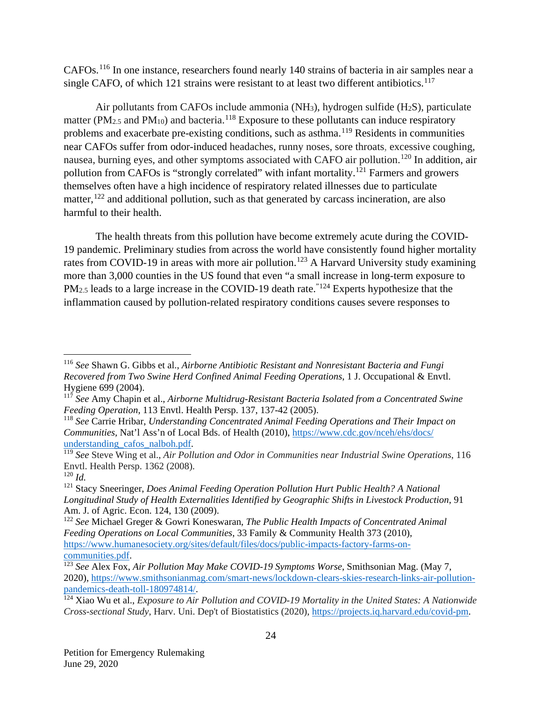CAFOs.[116](#page-24-0) In one instance, researchers found nearly 140 strains of bacteria in air samples near a single CAFO, of which 121 strains were resistant to at least two different antibiotics.<sup>[117](#page-24-1)</sup>

Air pollutants from CAFOs include ammonia (NH3), hydrogen sulfide (H2S), particulate matter ( $PM_{2.5}$  and  $PM_{10}$ ) and bacteria.<sup>[118](#page-24-2)</sup> Exposure to these pollutants can induce respiratory problems and exacerbate pre-existing conditions, such as asthma.[119](#page-24-3) Residents in communities near CAFOs suffer from odor-induced headaches, runny noses, sore throats, excessive coughing, nausea, burning eyes, and other symptoms associated with CAFO air pollution.[120](#page-24-4) In addition, air pollution from CAFOs is "strongly correlated" with infant mortality.<sup>[121](#page-24-5)</sup> Farmers and growers themselves often have a high incidence of respiratory related illnesses due to particulate matter,<sup>[122](#page-24-6)</sup> and additional pollution, such as that generated by carcass incineration, are also harmful to their health.

The health threats from this pollution have become extremely acute during the COVID-19 pandemic. Preliminary studies from across the world have consistently found higher mortality rates from COVID-19 in areas with more air pollution.<sup>[123](#page-24-7)</sup> A Harvard University study examining more than 3,000 counties in the US found that even "a small increase in long-term exposure to  $PM_{2.5}$  leads to a large increase in the COVID-19 death rate.<sup>"[124](#page-24-8)</sup> Experts hypothesize that the inflammation caused by pollution-related respiratory conditions causes severe responses to

<span id="page-24-0"></span> <sup>116</sup> *See* Shawn G. Gibbs et al., *Airborne Antibiotic Resistant and Nonresistant Bacteria and Fungi Recovered from Two Swine Herd Confined Animal Feeding Operations*, 1 J. Occupational & Envtl. Hygiene 699 (2004).

<span id="page-24-1"></span><sup>117</sup> *See* Amy Chapin et al., *Airborne Multidrug-Resistant Bacteria Isolated from a Concentrated Swine Feeding Operation*, 113 Envtl. Health Persp. 137, 137-42 (2005).

<span id="page-24-2"></span><sup>118</sup> *See* Carrie Hribar, *Understanding Concentrated Animal Feeding Operations and Their Impact on Communities,* Nat'l Ass'n of Local Bds. of Health (2010), [https://www.cdc.gov/nceh/ehs/docs/](https://www.cdc.gov/nceh/ehs/docs/understanding_cafos_nalboh.pdf) [understanding\\_cafos\\_nalboh.pdf.](https://www.cdc.gov/nceh/ehs/docs/understanding_cafos_nalboh.pdf)

<span id="page-24-3"></span><sup>119</sup> *See* Steve Wing et al., *Air Pollution and Odor in Communities near Industrial Swine Operations*, 116 Envtl. Health Persp. 1362 (2008).

<span id="page-24-4"></span><sup>120</sup> *Id.*

<span id="page-24-5"></span><sup>121</sup> Stacy Sneeringer, *Does Animal Feeding Operation Pollution Hurt Public Health? A National Longitudinal Study of Health Externalities Identified by Geographic Shifts in Livestock Production*, 91 Am. J. of Agric. Econ. 124, 130 (2009).

<span id="page-24-6"></span><sup>122</sup> *See* Michael Greger & Gowri Koneswaran, *The Public Health Impacts of Concentrated Animal Feeding Operations on Local Communities*, 33 Family & Community Health 373 (2010), [https://www.humanesociety.org/sites/default/files/docs/public-impacts-factory-farms-on](https://www.humanesociety.org/sites/default/files/docs/public-impacts-factory-farms-on-communities.pdf)[communities.pdf.](https://www.humanesociety.org/sites/default/files/docs/public-impacts-factory-farms-on-communities.pdf)

<span id="page-24-7"></span><sup>123</sup> *See* Alex Fox, *Air Pollution May Make COVID-19 Symptoms Worse*, Smithsonian Mag. (May 7, 2020), [https://www.smithsonianmag.com/smart-news/lockdown-clears-skies-research-links-air-pollution](https://www.smithsonianmag.com/smart-news/lockdown-clears-skies-research-links-air-pollution-pandemics-death-toll-180974814/)[pandemics-death-toll-180974814/.](https://www.smithsonianmag.com/smart-news/lockdown-clears-skies-research-links-air-pollution-pandemics-death-toll-180974814/)

<span id="page-24-8"></span><sup>124</sup> Xiao Wu et al., *Exposure to Air Pollution and COVID-19 Mortality in the United States: A Nationwide Cross-sectional Study*, Harv. Uni. Dep't of Biostatistics (2020), [https://projects.iq.harvard.edu/covid-pm.](https://projects.iq.harvard.edu/covid-pm)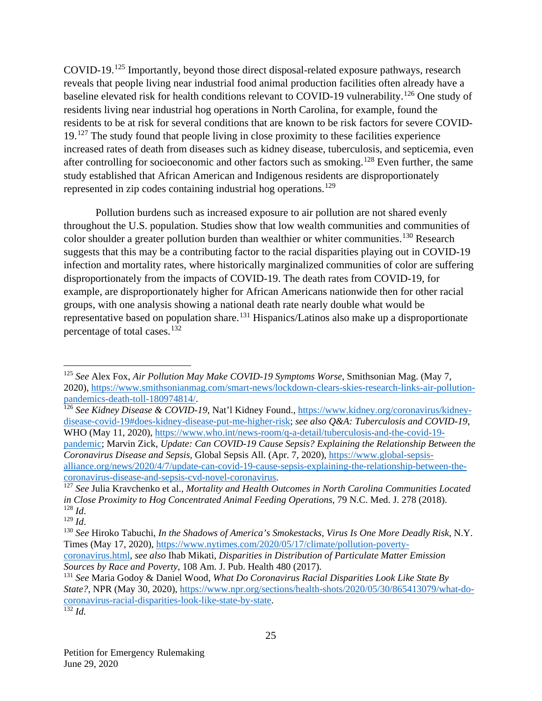COVID-19. [125](#page-25-0) Importantly, beyond those direct disposal-related exposure pathways, research reveals that people living near industrial food animal production facilities often already have a baseline elevated risk for health conditions relevant to COVID-19 vulnerability.<sup>[126](#page-25-1)</sup> One study of residents living near industrial hog operations in North Carolina, for example, found the residents to be at risk for several conditions that are known to be risk factors for severe COVID-19.[127](#page-25-2) The study found that people living in close proximity to these facilities experience increased rates of death from diseases such as kidney disease, tuberculosis, and septicemia, even after controlling for socioeconomic and other factors such as smoking.[128](#page-25-3) Even further, the same study established that African American and Indigenous residents are disproportionately represented in zip codes containing industrial hog operations.<sup>[129](#page-25-4)</sup>

Pollution burdens such as increased exposure to air pollution are not shared evenly throughout the U.S. population. Studies show that low wealth communities and communities of color shoulder a greater pollution burden than wealthier or whiter communities.<sup>[130](#page-25-5)</sup> Research suggests that this may be a contributing factor to the racial disparities playing out in COVID-19 infection and mortality rates, where historically marginalized communities of color are suffering disproportionately from the impacts of COVID-19. The death rates from COVID-19, for example, are disproportionately higher for African Americans nationwide then for other racial groups, with one analysis showing a national death rate nearly double what would be representative based on population share.<sup>[131](#page-25-6)</sup> Hispanics/Latinos also make up a disproportionate percentage of total cases.[132](#page-25-7)

<span id="page-25-1"></span><sup>126</sup> *See Kidney Disease & COVID-19*, Nat'l Kidney Found.[, https://www.kidney.org/coronavirus/kidney](https://www.kidney.org/coronavirus/kidney-disease-covid-19#does-kidney-disease-put-me-higher-risk)[disease-covid-19#does-kidney-disease-put-me-higher-risk;](https://www.kidney.org/coronavirus/kidney-disease-covid-19#does-kidney-disease-put-me-higher-risk) *see also Q&A: Tuberculosis and COVID-19*, WHO (May 11, 2020), [https://www.who.int/news-room/q-a-detail/tuberculosis-and-the-covid-19-](https://www.who.int/news-room/q-a-detail/tuberculosis-and-the-covid-19-pandemic)

[pandemic;](https://www.who.int/news-room/q-a-detail/tuberculosis-and-the-covid-19-pandemic) Marvin Zick, *Update: Can COVID-19 Cause Sepsis? Explaining the Relationship Between the Coronavirus Disease and Sepsis*, Global Sepsis All. (Apr. 7, 2020), [https://www.global-sepsis](https://www.global-sepsis-alliance.org/news/2020/4/7/update-can-covid-19-cause-sepsis-explaining-the-relationship-between-the-coronavirus-disease-and-sepsis-cvd-novel-coronavirus)[alliance.org/news/2020/4/7/update-can-covid-19-cause-sepsis-explaining-the-relationship-between-the-](https://www.global-sepsis-alliance.org/news/2020/4/7/update-can-covid-19-cause-sepsis-explaining-the-relationship-between-the-coronavirus-disease-and-sepsis-cvd-novel-coronavirus)

[coronavirus.html,](https://www.nytimes.com/2020/05/17/climate/pollution-poverty-coronavirus.html) *see also* Ihab Mikati, *Disparities in Distribution of Particulate Matter Emission Sources by Race and Poverty*, 108 Am. J. Pub. Health 480 (2017).

<span id="page-25-0"></span> <sup>125</sup> *See* Alex Fox, *Air Pollution May Make COVID-19 Symptoms Worse*, Smithsonian Mag. (May 7, 2020), [https://www.smithsonianmag.com/smart-news/lockdown-clears-skies-research-links-air-pollution](https://www.smithsonianmag.com/smart-news/lockdown-clears-skies-research-links-air-pollution-pandemics-death-toll-180974814/)[pandemics-death-toll-180974814/.](https://www.smithsonianmag.com/smart-news/lockdown-clears-skies-research-links-air-pollution-pandemics-death-toll-180974814/)

<span id="page-25-2"></span><sup>&</sup>lt;sup>127</sup> See Julia Kravchenko et al., *Mortality and Health Outcomes in North Carolina Communities Located in Close Proximity to Hog Concentrated Animal Feeding Operations*, 79 N.C. Med. J. 278 (2018). <sup>128</sup> *Id*. 129 *Id*.

<span id="page-25-4"></span><span id="page-25-3"></span>

<span id="page-25-5"></span><sup>130</sup> *See* Hiroko Tabuchi, *In the Shadows of America's Smokestacks, Virus Is One More Deadly Risk*, N.Y. Times (May 17, 2020), [https://www.nytimes.com/2020/05/17/climate/pollution-poverty-](https://www.nytimes.com/2020/05/17/climate/pollution-poverty-coronavirus.html)

<span id="page-25-7"></span><span id="page-25-6"></span><sup>131</sup> *See* Maria Godoy & Daniel Wood, *What Do Coronavirus Racial Disparities Look Like State By State?*, NPR (May 30, 2020), [https://www.npr.org/sections/health-shots/2020/05/30/865413079/what-do](https://www.npr.org/sections/health-shots/2020/05/30/865413079/what-do-coronavirus-racial-disparities-look-like-state-by-state)[coronavirus-racial-disparities-look-like-state-by-state.](https://www.npr.org/sections/health-shots/2020/05/30/865413079/what-do-coronavirus-racial-disparities-look-like-state-by-state)  $\overline{\frac{132}{Id}}$ .

Petition for Emergency Rulemaking June 29, 2020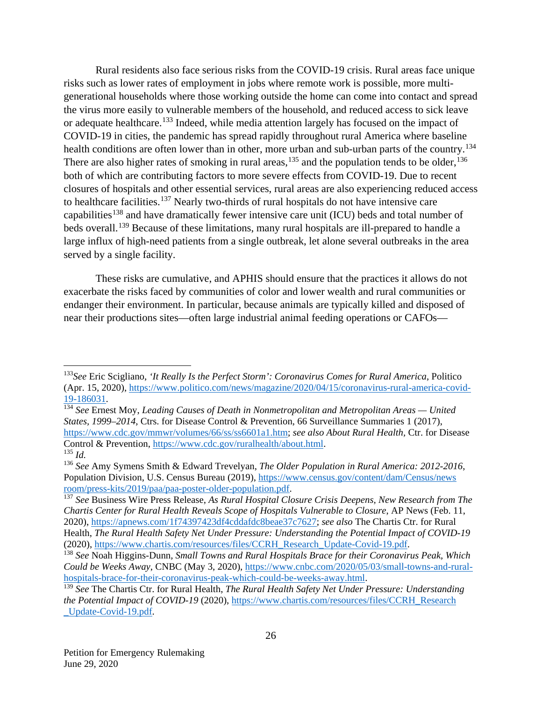Rural residents also face serious risks from the COVID-19 crisis. Rural areas face unique risks such as lower rates of employment in jobs where remote work is possible, more multigenerational households where those working outside the home can come into contact and spread the virus more easily to vulnerable members of the household, and reduced access to sick leave or adequate healthcare.<sup>[133](#page-26-0)</sup> Indeed, while media attention largely has focused on the impact of COVID-19 in cities, the pandemic has spread rapidly throughout rural America where baseline health conditions are often lower than in other, more urban and sub-urban parts of the country.<sup>[134](#page-26-1)</sup> There are also higher rates of smoking in rural areas,<sup>[135](#page-26-2)</sup> and the population tends to be older,  $136$ both of which are contributing factors to more severe effects from COVID-19. Due to recent closures of hospitals and other essential services, rural areas are also experiencing reduced access to healthcare facilities.<sup>[137](#page-26-4)</sup> Nearly two-thirds of rural hospitals do not have intensive care capabilities<sup>[138](#page-26-5)</sup> and have dramatically fewer intensive care unit (ICU) beds and total number of beds overall.<sup>[139](#page-26-6)</sup> Because of these limitations, many rural hospitals are ill-prepared to handle a large influx of high-need patients from a single outbreak, let alone several outbreaks in the area served by a single facility.

These risks are cumulative, and APHIS should ensure that the practices it allows do not exacerbate the risks faced by communities of color and lower wealth and rural communities or endanger their environment. In particular, because animals are typically killed and disposed of near their productions sites—often large industrial animal feeding operations or CAFOs—

<span id="page-26-0"></span> <sup>133</sup>*See* Eric Scigliano, *'It Really Is the Perfect Storm': Coronavirus Comes for Rural America*, Politico (Apr. 15, 2020), [https://www.politico.com/news/magazine/2020/04/15/coronavirus-rural-america-covid-](https://www.politico.com/news/magazine/2020/04/15/coronavirus-rural-america-covid-19-186031)[19-186031.](https://www.politico.com/news/magazine/2020/04/15/coronavirus-rural-america-covid-19-186031)

<span id="page-26-1"></span><sup>134</sup> *See* Ernest Moy, *Leading Causes of Death in Nonmetropolitan and Metropolitan Areas — United States, 1999–2014*, Ctrs. for Disease Control & Prevention, 66 Surveillance Summaries 1 (2017), [https://www.cdc.gov/mmwr/volumes/66/ss/ss6601a1.htm;](https://www.cdc.gov/mmwr/volumes/66/ss/ss6601a1.htm) *see also About Rural Health,* Ctr. for Disease Control & Prevention, [https://www.cdc.gov/ruralhealth/about.html.](https://www.cdc.gov/ruralhealth/about.html)  $^{135}$  *Id.* 

<span id="page-26-3"></span><span id="page-26-2"></span><sup>136</sup> *See* Amy Symens Smith & Edward Trevelyan, *The Older Population in Rural America: 2012-2016*, Population Division, U.S. Census Bureau (2019), [https://www.census.gov/content/dam/Census/news](https://www.census.gov/content/dam/Census/newsroom/press-kits/2019/paa/paa-poster-older-population.pdf) [room/press-kits/2019/paa/paa-poster-older-population.pdf.](https://www.census.gov/content/dam/Census/newsroom/press-kits/2019/paa/paa-poster-older-population.pdf)

<span id="page-26-4"></span><sup>137</sup> *See* Business Wire Press Release, *As Rural Hospital Closure Crisis Deepens, New Research from The Chartis Center for Rural Health Reveals Scope of Hospitals Vulnerable to Closure*, AP News (Feb. 11, 2020), [https://apnews.com/1f74397423df4cddafdc8beae37c7627;](https://apnews.com/1f74397423df4cddafdc8beae37c7627) *see also* The Chartis Ctr. for Rural Health, *The Rural Health Safety Net Under Pressure: Understanding the Potential Impact of COVID-19*  (2020), [https://www.chartis.com/resources/files/CCRH\\_Research\\_Update-Covid-19.pdf.](https://www.chartis.com/resources/files/CCRH_Research_Update-Covid-19.pdf)

<span id="page-26-5"></span><sup>138</sup> *See* Noah Higgins-Dunn*, Small Towns and Rural Hospitals Brace for their Coronavirus Peak, Which Could be Weeks Away*, CNBC (May 3, 2020), [https://www.cnbc.com/2020/05/03/small-towns-and-rural](https://www.cnbc.com/2020/05/03/small-towns-and-rural-hospitals-brace-for-their-coronavirus-peak-which-could-be-weeks-away.html)[hospitals-brace-for-their-coronavirus-peak-which-could-be-weeks-away.html.](https://www.cnbc.com/2020/05/03/small-towns-and-rural-hospitals-brace-for-their-coronavirus-peak-which-could-be-weeks-away.html)

<span id="page-26-6"></span><sup>139</sup> *See* The Chartis Ctr. for Rural Health, *The Rural Health Safety Net Under Pressure: Understanding the Potential Impact of COVID-19* (2020), [https://www.chartis.com/resources/files/CCRH\\_Research](https://www.chartis.com/resources/files/CCRH_Research_Update-Covid-19.pdf) [\\_Update-Covid-19.pdf.](https://www.chartis.com/resources/files/CCRH_Research_Update-Covid-19.pdf)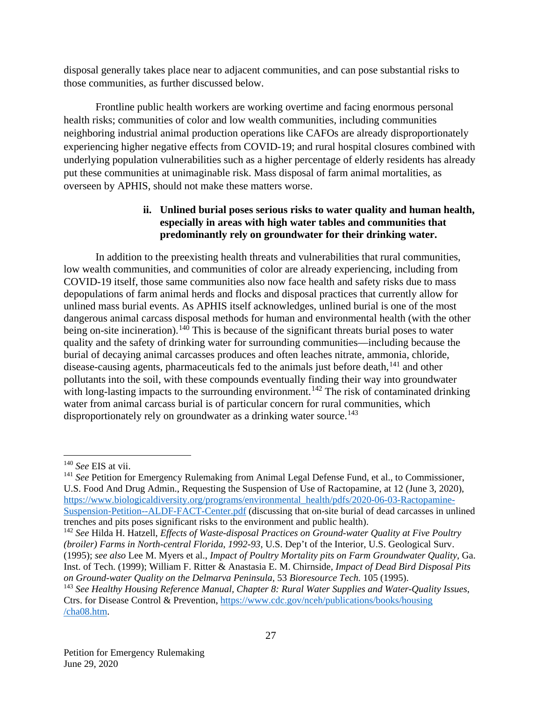disposal generally takes place near to adjacent communities, and can pose substantial risks to those communities, as further discussed below.

Frontline public health workers are working overtime and facing enormous personal health risks; communities of color and low wealth communities, including communities neighboring industrial animal production operations like CAFOs are already disproportionately experiencing higher negative effects from COVID-19; and rural hospital closures combined with underlying population vulnerabilities such as a higher percentage of elderly residents has already put these communities at unimaginable risk. Mass disposal of farm animal mortalities, as overseen by APHIS, should not make these matters worse.

#### **ii. Unlined burial poses serious risks to water quality and human health, especially in areas with high water tables and communities that predominantly rely on groundwater for their drinking water.**

In addition to the preexisting health threats and vulnerabilities that rural communities, low wealth communities, and communities of color are already experiencing, including from COVID-19 itself, those same communities also now face health and safety risks due to mass depopulations of farm animal herds and flocks and disposal practices that currently allow for unlined mass burial events. As APHIS itself acknowledges, unlined burial is one of the most dangerous animal carcass disposal methods for human and environmental health (with the other being on-site incineration).<sup>[140](#page-27-0)</sup> This is because of the significant threats burial poses to water quality and the safety of drinking water for surrounding communities—including because the burial of decaying animal carcasses produces and often leaches nitrate, ammonia, chloride, disease-causing agents, pharmaceuticals fed to the animals just before death, $141$  and other pollutants into the soil, with these compounds eventually finding their way into groundwater with long-lasting impacts to the surrounding environment.<sup>[142](#page-27-2)</sup> The risk of contaminated drinking water from animal carcass burial is of particular concern for rural communities, which disproportionately rely on groundwater as a drinking water source.<sup>[143](#page-27-3)</sup>

<span id="page-27-0"></span> <sup>140</sup> *See* EIS at vii.

<span id="page-27-1"></span><sup>&</sup>lt;sup>141</sup> See Petition for Emergency Rulemaking from Animal Legal Defense Fund, et al., to Commissioner, U.S. Food And Drug Admin., Requesting the Suspension of Use of Ractopamine, at 12 (June 3, 2020), [https://www.biologicaldiversity.org/programs/environmental\\_health/pdfs/2020-06-03-Ractopamine-](https://www.biologicaldiversity.org/programs/environmental_health/pdfs/2020-06-03-Ractopamine-Suspension-Petition--ALDF-FACT-Center.pdf)[Suspension-Petition--ALDF-FACT-Center.pdf](https://www.biologicaldiversity.org/programs/environmental_health/pdfs/2020-06-03-Ractopamine-Suspension-Petition--ALDF-FACT-Center.pdf) (discussing that on-site burial of dead carcasses in unlined trenches and pits poses significant risks to the environment and public health).

<span id="page-27-2"></span><sup>142</sup> *See* Hilda H. Hatzell, *Effects of Waste-disposal Practices on Ground-water Quality at Five Poultry (broiler) Farms in North-central Florida*, *1992-93*, U.S. Dep't of the Interior, U.S. Geological Surv. (1995); *see also* Lee M. Myers et al., *Impact of Poultry Mortality pits on Farm Groundwater Quality*, Ga. Inst. of Tech. (1999); William F. Ritter & Anastasia E. M. Chirnside*, Impact of Dead Bird Disposal Pits on Ground-water Quality on the Delmarva Peninsula*, 53 *Bioresource Tech.* 105 (1995).

<span id="page-27-3"></span><sup>143</sup> *See Healthy Housing Reference Manual, Chapter 8: Rural Water Supplies and Water-Quality Issues*, Ctrs. for Disease Control & Prevention,<https://www.cdc.gov/nceh/publications/books/housing> [/cha08.htm.](https://www.cdc.gov/nceh/publications/books/housing/cha08.htm)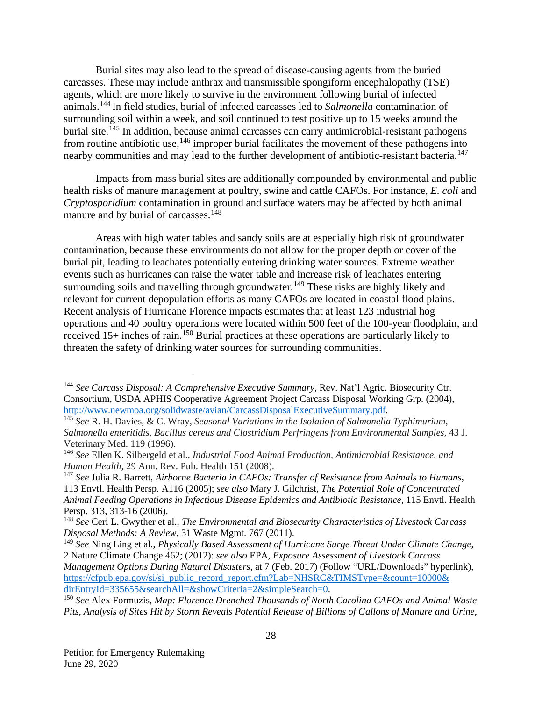Burial sites may also lead to the spread of disease-causing agents from the buried carcasses. These may include anthrax and transmissible spongiform encephalopathy (TSE) agents, which are more likely to survive in the environment following burial of infected animals.[144](#page-28-0) In field studies, burial of infected carcasses led to *Salmonella* contamination of surrounding soil within a week, and soil continued to test positive up to 15 weeks around the burial site.<sup>[145](#page-28-1)</sup> In addition, because animal carcasses can carry antimicrobial-resistant pathogens from routine antibiotic use,  $146$  improper burial facilitates the movement of these pathogens into nearby communities and may lead to the further development of antibiotic-resistant bacteria.<sup>[147](#page-28-3)</sup>

Impacts from mass burial sites are additionally compounded by environmental and public health risks of manure management at poultry, swine and cattle CAFOs. For instance, *E. coli* and *Cryptosporidium* contamination in ground and surface waters may be affected by both animal manure and by burial of carcasses.<sup>[148](#page-28-4)</sup>

Areas with high water tables and sandy soils are at especially high risk of groundwater contamination, because these environments do not allow for the proper depth or cover of the burial pit, leading to leachates potentially entering drinking water sources. Extreme weather events such as hurricanes can raise the water table and increase risk of leachates entering surrounding soils and travelling through groundwater.<sup>[149](#page-28-5)</sup> These risks are highly likely and relevant for current depopulation efforts as many CAFOs are located in coastal flood plains. Recent analysis of Hurricane Florence impacts estimates that at least 123 industrial hog operations and 40 poultry operations were located within 500 feet of the 100-year floodplain, and received 15+ inches of rain. [150](#page-28-6) Burial practices at these operations are particularly likely to threaten the safety of drinking water sources for surrounding communities.

<span id="page-28-0"></span> <sup>144</sup> *See Carcass Disposal: A Comprehensive Executive Summary*, Rev. Nat'l Agric. Biosecurity Ctr. Consortium, USDA APHIS Cooperative Agreement Project Carcass Disposal Working Grp. (2004), [http://www.newmoa.org/solidwaste/avian/CarcassDisposalExecutiveSummary.pdf.](http://www.newmoa.org/solidwaste/avian/CarcassDisposalExecutiveSummary.pdf)

<span id="page-28-1"></span><sup>145</sup> *See* R. H. Davies, & C. Wray, *Seasonal Variations in the Isolation of Salmonella Typhimurium, Salmonella enteritidis, Bacillus cereus and Clostridium Perfringens from Environmental Samples*, 43 J. Veterinary Med. 119 (1996).

<span id="page-28-2"></span><sup>146</sup> *See* Ellen K. Silbergeld et al., *Industrial Food Animal Production, Antimicrobial Resistance, and Human Health*, 29 Ann. Rev. Pub. Health 151 (2008).

<span id="page-28-3"></span><sup>147</sup> *See* Julia R. Barrett, *Airborne Bacteria in CAFOs: Transfer of Resistance from Animals to Humans*, 113 Envtl. Health Persp. A116 (2005); *see also* Mary J. Gilchrist, *The Potential Role of Concentrated Animal Feeding Operations in Infectious Disease Epidemics and Antibiotic Resistance*, 115 Envtl. Health Persp. 313, 313-16 (2006).

<span id="page-28-4"></span><sup>148</sup> *See* Ceri L. Gwyther et al., *The Environmental and Biosecurity Characteristics of Livestock Carcass Disposal Methods: A Review*, 31 Waste Mgmt. 767 (2011).

<span id="page-28-5"></span><sup>149</sup> *See* Ning Ling et al., *Physically Based Assessment of Hurricane Surge Threat Under Climate Change*, 2 Nature Climate Change 462; (2012): *see also* EPA, *Exposure Assessment of Livestock Carcass Management Options During Natural Disasters*, at 7 (Feb. 2017) (Follow "URL/Downloads" hyperlink), [https://cfpub.epa.gov/si/si\\_public\\_record\\_report.cfm?Lab=NHSRC&TIMSType=&count=10000&](https://cfpub.epa.gov/si/si_public_record_report.cfm?Lab=NHSRC&TIMSType=&count=10000&dirEntryId=335655&searchAll=&showCriteria=2&simpleSearch=0) [dirEntryId=335655&searchAll=&showCriteria=2&simpleSearch=0.](https://cfpub.epa.gov/si/si_public_record_report.cfm?Lab=NHSRC&TIMSType=&count=10000&dirEntryId=335655&searchAll=&showCriteria=2&simpleSearch=0)

<span id="page-28-6"></span><sup>150</sup> *See* Alex Formuzis, *Map: Florence Drenched Thousands of North Carolina CAFOs and Animal Waste Pits, Analysis of Sites Hit by Storm Reveals Potential Release of Billions of Gallons of Manure and Urine*,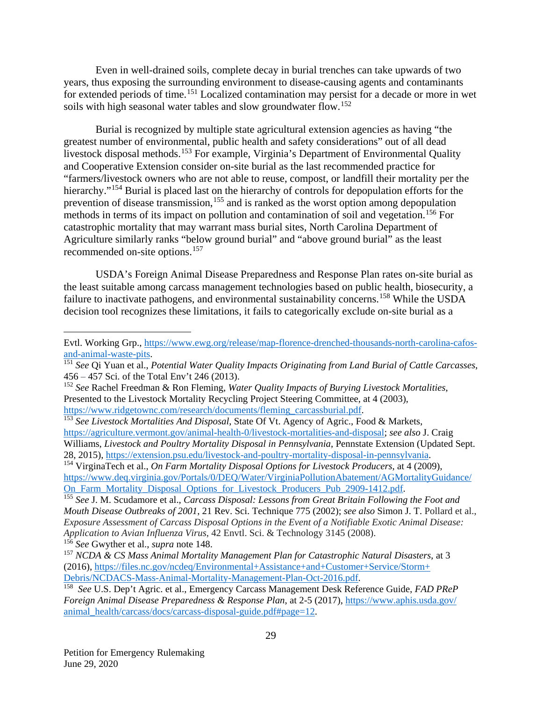Even in well-drained soils, complete decay in burial trenches can take upwards of two years, thus exposing the surrounding environment to disease-causing agents and contaminants for extended periods of time.<sup>[151](#page-29-0)</sup> Localized contamination may persist for a decade or more in wet soils with high seasonal water tables and slow groundwater flow.<sup>[152](#page-29-1)</sup>

Burial is recognized by multiple state agricultural extension agencies as having "the greatest number of environmental, public health and safety considerations" out of all dead livestock disposal methods.<sup>[153](#page-29-2)</sup> For example, Virginia's Department of Environmental Quality and Cooperative Extension consider on-site burial as the last recommended practice for "farmers/livestock owners who are not able to reuse, compost, or landfill their mortality per the hierarchy."<sup>[154](#page-29-3)</sup> Burial is placed last on the hierarchy of controls for depopulation efforts for the prevention of disease transmission,<sup>[155](#page-29-4)</sup> and is ranked as the worst option among depopulation methods in terms of its impact on pollution and contamination of soil and vegetation.<sup>[156](#page-29-5)</sup> For catastrophic mortality that may warrant mass burial sites, North Carolina Department of Agriculture similarly ranks "below ground burial" and "above ground burial" as the least recommended on-site options.[157](#page-29-6)

USDA's Foreign Animal Disease Preparedness and Response Plan rates on-site burial as the least suitable among carcass management technologies based on public health, biosecurity, a failure to inactivate pathogens, and environmental sustainability concerns.<sup>[158](#page-29-7)</sup> While the USDA decision tool recognizes these limitations, it fails to categorically exclude on-site burial as a

 $\overline{a}$ 

Evtl. Working Grp., [https://www.ewg.org/release/map-florence-drenched-thousands-north-carolina-cafos](https://www.ewg.org/release/map-florence-drenched-thousands-north-carolina-cafos-and-animal-waste-pits)[and-animal-waste-pits.](https://www.ewg.org/release/map-florence-drenched-thousands-north-carolina-cafos-and-animal-waste-pits)

<span id="page-29-0"></span><sup>151</sup> *See* Qi Yuan et al., *Potential Water Quality Impacts Originating from Land Burial of Cattle Carcasses*, 456 – 457 Sci. of the Total Env't 246 (2013).

<span id="page-29-1"></span><sup>152</sup> *See* Rachel Freedman & Ron Fleming, *Water Quality Impacts of Burying Livestock Mortalities*, Presented to the Livestock Mortality Recycling Project Steering Committee, at 4 (2003), https://www.ridgetownc.com/research/documents/fleming carcassburial.pdf.

<span id="page-29-2"></span><sup>&</sup>lt;sup>153</sup> See Livestock Mortalities And Disposal, State Of Vt. Agency of Agric., Food & Markets, [https://agriculture.vermont.gov/animal-health-0/livestock-mortalities-and-disposal;](https://agriculture.vermont.gov/animal-health-0/livestock-mortalities-and-disposal) *see also* J. Craig Williams, *Livestock and Poultry Mortality Disposal in Pennsylvania*, Pennstate Extension (Updated Sept. 28, 2015), [https://extension.psu.edu/livestock-and-poultry-mortality-disposal-in-pennsylvania.](https://extension.psu.edu/livestock-and-poultry-mortality-disposal-in-pennsylvania)

<span id="page-29-3"></span><sup>154</sup> VirginaTech et al., *On Farm Mortality Disposal Options for Livestock Producers*, at 4 (2009), [https://www.deq.virginia.gov/Portals/0/DEQ/Water/VirginiaPollutionAbatement/AGMortalityGuidance/](https://www.deq.virginia.gov/Portals/0/DEQ/Water/VirginiaPollutionAbatement/AGMortalityGuidance/On_Farm_Mortality_Disposal_Options_for_Livestock_Producers_Pub_2909-1412.pdf) [On\\_Farm\\_Mortality\\_Disposal\\_Options\\_for\\_Livestock\\_Producers\\_Pub\\_2909-1412.pdf.](https://www.deq.virginia.gov/Portals/0/DEQ/Water/VirginiaPollutionAbatement/AGMortalityGuidance/On_Farm_Mortality_Disposal_Options_for_Livestock_Producers_Pub_2909-1412.pdf)

<span id="page-29-4"></span><sup>155</sup> *See* J. M. Scudamore et al., *Carcass Disposal: Lessons from Great Britain Following the Foot and Mouth Disease Outbreaks of 2001*, 21 Rev. Sci. Technique 775 (2002); *see also* Simon J. T. Pollard et al., *Exposure Assessment of Carcass Disposal Options in the Event of a Notifiable Exotic Animal Disease: Application to Avian Influenza Virus*, 42 Envtl. Sci. & Technology 3145 (2008). <sup>156</sup> *See* Gwyther et al., *supra* note 148.

<span id="page-29-6"></span><span id="page-29-5"></span><sup>157</sup> *NCDA & CS Mass Animal Mortality Management Plan for Catastrophic Natural Disasters*, at 3 (2016), [https://files.nc.gov/ncdeq/Environmental+Assistance+and+Customer+Service/Storm+](https://files.nc.gov/ncdeq/Environmental+Assistance+and+Customer+Service/Storm+Debris/NCDACS-Mass-Animal-Mortality-Management-Plan-Oct-2016.pdf) [Debris/NCDACS-Mass-Animal-Mortality-Management-Plan-Oct-2016.pdf.](https://files.nc.gov/ncdeq/Environmental+Assistance+and+Customer+Service/Storm+Debris/NCDACS-Mass-Animal-Mortality-Management-Plan-Oct-2016.pdf)

<span id="page-29-7"></span><sup>158</sup> *See* U.S. Dep't Agric. et al., Emergency Carcass Management Desk Reference Guide, *FAD PReP Foreign Animal Disease Preparedness & Response Plan*, at 2-5 (2017), [https://www.aphis.usda.gov/](https://www.aphis.usda.gov/animal_health/carcass/docs/carcass-disposal-guide.pdf#page=12) [animal\\_health/carcass/docs/carcass-disposal-guide.pdf#page=12.](https://www.aphis.usda.gov/animal_health/carcass/docs/carcass-disposal-guide.pdf#page=12)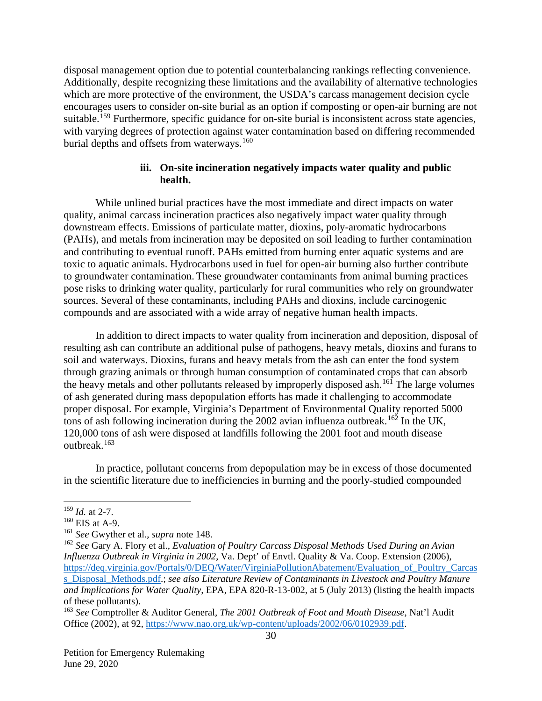disposal management option due to potential counterbalancing rankings reflecting convenience. Additionally, despite recognizing these limitations and the availability of alternative technologies which are more protective of the environment, the USDA's carcass management decision cycle encourages users to consider on-site burial as an option if composting or open-air burning are not suitable.<sup>[159](#page-30-0)</sup> Furthermore, specific guidance for on-site burial is inconsistent across state agencies, with varying degrees of protection against water contamination based on differing recommended burial depths and offsets from waterways.<sup>[160](#page-30-1)</sup>

#### **iii. On-site incineration negatively impacts water quality and public health.**

While unlined burial practices have the most immediate and direct impacts on water quality, animal carcass incineration practices also negatively impact water quality through downstream effects. Emissions of particulate matter, dioxins, poly-aromatic hydrocarbons (PAHs), and metals from incineration may be deposited on soil leading to further contamination and contributing to eventual runoff. PAHs emitted from burning enter aquatic systems and are toxic to aquatic animals. Hydrocarbons used in fuel for open-air burning also further contribute to groundwater contamination. These groundwater contaminants from animal burning practices pose risks to drinking water quality, particularly for rural communities who rely on groundwater sources. Several of these contaminants, including PAHs and dioxins, include carcinogenic compounds and are associated with a wide array of negative human health impacts.

In addition to direct impacts to water quality from incineration and deposition, disposal of resulting ash can contribute an additional pulse of pathogens, heavy metals, dioxins and furans to soil and waterways. Dioxins, furans and heavy metals from the ash can enter the food system through grazing animals or through human consumption of contaminated crops that can absorb the heavy metals and other pollutants released by improperly disposed ash.<sup>[161](#page-30-2)</sup> The large volumes of ash generated during mass depopulation efforts has made it challenging to accommodate proper disposal. For example, Virginia's Department of Environmental Quality reported 5000 tons of ash following incineration during the 2002 avian influenza outbreak.<sup>[162](#page-30-3)</sup> In the UK, 120,000 tons of ash were disposed at landfills following the 2001 foot and mouth disease outbreak. [163](#page-30-4)

In practice, pollutant concerns from depopulation may be in excess of those documented in the scientific literature due to inefficiencies in burning and the poorly-studied compounded

<span id="page-30-0"></span> <sup>159</sup> *Id.* at 2-7.

<span id="page-30-1"></span> $160$  EIS at A-9.

<span id="page-30-2"></span><sup>161</sup> *See* Gwyther et al., *supra* note 148.

<span id="page-30-3"></span><sup>162</sup> *See* Gary A. Flory et al., *Evaluation of Poultry Carcass Disposal Methods Used During an Avian Influenza Outbreak in Virginia in 2002*, Va. Dept' of Envtl. Quality & Va. Coop. Extension (2006), https://deq.virginia.gov/Portals/0/DEQ/Water/VirginiaPollutionAbatement/Evaluation of Poultry Carcas [s\\_Disposal\\_Methods.pdf.](https://deq.virginia.gov/Portals/0/DEQ/Water/VirginiaPollutionAbatement/Evaluation_of_Poultry_Carcass_Disposal_Methods.pdf); *see also Literature Review of Contaminants in Livestock and Poultry Manure and Implications for Water Quality,* EPA, EPA 820-R-13-002, at 5 (July 2013) (listing the health impacts of these pollutants).

<span id="page-30-4"></span><sup>163</sup> *See* Comptroller & Auditor General*, The 2001 Outbreak of Foot and Mouth Disease*, Nat'l Audit Office (2002), at 92, [https://www.nao.org.uk/wp-content/uploads/2002/06/0102939.pdf.](https://www.nao.org.uk/wp-content/uploads/2002/06/0102939.pdf)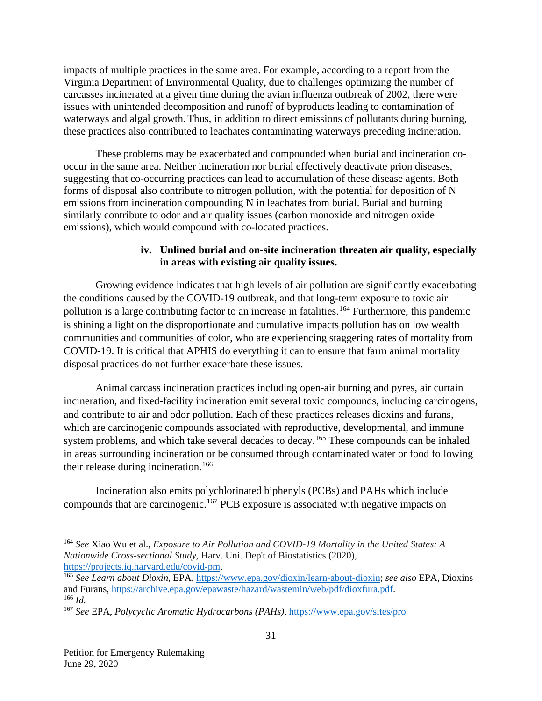impacts of multiple practices in the same area. For example, according to a report from the Virginia Department of Environmental Quality, due to challenges optimizing the number of carcasses incinerated at a given time during the avian influenza outbreak of 2002, there were issues with unintended decomposition and runoff of byproducts leading to contamination of waterways and algal growth. Thus, in addition to direct emissions of pollutants during burning, these practices also contributed to leachates contaminating waterways preceding incineration.

These problems may be exacerbated and compounded when burial and incineration cooccur in the same area. Neither incineration nor burial effectively deactivate prion diseases, suggesting that co-occurring practices can lead to accumulation of these disease agents. Both forms of disposal also contribute to nitrogen pollution, with the potential for deposition of N emissions from incineration compounding N in leachates from burial. Burial and burning similarly contribute to odor and air quality issues (carbon monoxide and nitrogen oxide emissions), which would compound with co-located practices.

### **iv. Unlined burial and on-site incineration threaten air quality, especially in areas with existing air quality issues.**

Growing evidence indicates that high levels of air pollution are significantly exacerbating the conditions caused by the COVID-19 outbreak, and that long-term exposure to toxic air pollution is a large contributing factor to an increase in fatalities. [164](#page-31-0) Furthermore, this pandemic is shining a light on the disproportionate and cumulative impacts pollution has on low wealth communities and communities of color, who are experiencing staggering rates of mortality from COVID-19. It is critical that APHIS do everything it can to ensure that farm animal mortality disposal practices do not further exacerbate these issues.

Animal carcass incineration practices including open-air burning and pyres, air curtain incineration, and fixed-facility incineration emit several toxic compounds, including carcinogens, and contribute to air and odor pollution. Each of these practices releases dioxins and furans, which are carcinogenic compounds associated with reproductive, developmental, and immune system problems, and which take several decades to decay.<sup>[165](#page-31-1)</sup> These compounds can be inhaled in areas surrounding incineration or be consumed through contaminated water or food following their release during incineration.<sup>[166](#page-31-2)</sup>

Incineration also emits polychlorinated biphenyls (PCBs) and PAHs which include compounds that are carcinogenic.<sup>[167](#page-31-3)</sup> PCB exposure is associated with negative impacts on

<span id="page-31-0"></span> <sup>164</sup> *See* Xiao Wu et al., *Exposure to Air Pollution and COVID-19 Mortality in the United States: A Nationwide Cross-sectional Study*, Harv. Uni. Dep't of Biostatistics (2020), [https://projects.iq.harvard.edu/covid-pm.](https://projects.iq.harvard.edu/covid-pm)

<span id="page-31-1"></span><sup>165</sup> *See Learn about Dioxin*, EPA, [https://www.epa.gov/dioxin/learn-about-dioxin;](https://www.epa.gov/dioxin/learn-about-dioxin) *see also* EPA, Dioxins and Furans, [https://archive.epa.gov/epawaste/hazard/wastemin/web/pdf/dioxfura.pdf.](https://archive.epa.gov/epawaste/hazard/wastemin/web/pdf/dioxfura.pdf) <sup>166</sup> *Id.*

<span id="page-31-3"></span><span id="page-31-2"></span><sup>167</sup> *See* EPA, *Polycyclic Aromatic Hydrocarbons (PAHs)*, [https://www.epa.gov/sites/pro](https://www.epa.gov/sites/production/files/2014-03/documents/pahs_factsheet_cdc_2013.pdf)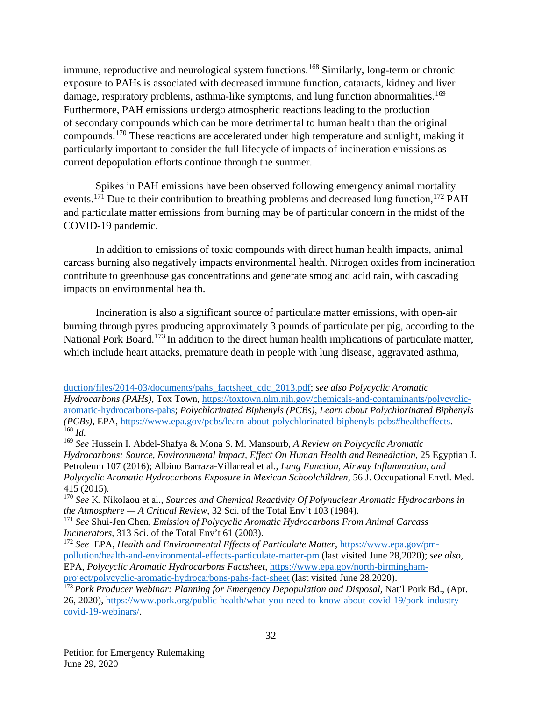immune, reproductive and neurological system functions.<sup>[168](#page-32-0)</sup> Similarly, long-term or chronic exposure to PAHs is associated with decreased immune function, cataracts, kidney and liver damage, respiratory problems, asthma-like symptoms, and lung function abnormalities.<sup>[169](#page-32-1)</sup> Furthermore, PAH emissions undergo atmospheric reactions leading to the production of secondary compounds which can be more detrimental to human health than the original compounds.[170](#page-32-2) These reactions are accelerated under high temperature and sunlight, making it particularly important to consider the full lifecycle of impacts of incineration emissions as current depopulation efforts continue through the summer.

Spikes in PAH emissions have been observed following emergency animal mortality events.<sup>[171](#page-32-3)</sup> Due to their contribution to breathing problems and decreased lung function,<sup>[172](#page-32-4)</sup> PAH and particulate matter emissions from burning may be of particular concern in the midst of the COVID-19 pandemic.

In addition to emissions of toxic compounds with direct human health impacts, animal carcass burning also negatively impacts environmental health. Nitrogen oxides from incineration contribute to greenhouse gas concentrations and generate smog and acid rain, with cascading impacts on environmental health.

Incineration is also a significant source of particulate matter emissions, with open-air burning through pyres producing approximately 3 pounds of particulate per pig, according to the National Pork Board.<sup>[173](#page-32-5)</sup> In addition to the direct human health implications of particulate matter, which include heart attacks, premature death in people with lung disease, aggravated asthma,

 $\overline{a}$ 

[duction/files/2014-03/documents/pahs\\_factsheet\\_cdc\\_2013.pdf;](https://www.epa.gov/sites/production/files/2014-03/documents/pahs_factsheet_cdc_2013.pdf) *see also Polycyclic Aromatic Hydrocarbons (PAHs)*, Tox Town, [https://toxtown.nlm.nih.gov/chemicals-and-contaminants/polycyclic](https://toxtown.nlm.nih.gov/chemicals-and-contaminants/polycyclic-aromatic-hydrocarbons-pahs)[aromatic-hydrocarbons-pahs;](https://toxtown.nlm.nih.gov/chemicals-and-contaminants/polycyclic-aromatic-hydrocarbons-pahs) *Polychlorinated Biphenyls (PCBs)*, *Learn about Polychlorinated Biphenyls (PCBs)*, EPA, [https://www.epa.gov/pcbs/learn-about-polychlorinated-biphenyls-pcbs#healtheffects.](https://www.epa.gov/pcbs/learn-about-polychlorinated-biphenyls-pcbs%23healtheffects) <sup>168</sup> *Id.*

<span id="page-32-1"></span><span id="page-32-0"></span><sup>169</sup> *See* Hussein I. Abdel-Shafya & Mona S. M. Mansourb, *A Review on Polycyclic Aromatic Hydrocarbons: Source, Environmental Impact, Effect On Human Health and Remediation*, 25 Egyptian J. Petroleum 107 (2016); Albino Barraza-Villarreal et al., *Lung Function, Airway Inflammation, and Polycyclic Aromatic Hydrocarbons Exposure in Mexican Schoolchildren*, 56 J. Occupational Envtl. Med. 415 (2015).

<span id="page-32-2"></span><sup>170</sup> *See* K. Nikolaou et al., *Sources and Chemical Reactivity Of Polynuclear Aromatic Hydrocarbons in the Atmosphere — A Critical Review*, 32 Sci. of the Total Env't 103 (1984).

<span id="page-32-3"></span><sup>171</sup> *See* Shui-Jen Chen, *Emission of Polycyclic Aromatic Hydrocarbons From Animal Carcass Incinerators*, 313 Sci. of the Total Env't 61 (2003).

<span id="page-32-4"></span><sup>172</sup> *See* EPA, *Health and Environmental Effects of Particulate Matter*, [https://www.epa.gov/pm](https://www.epa.gov/pm-pollution/health-and-environmental-effects-particulate-matter-pm)[pollution/health-and-environmental-effects-particulate-matter-pm](https://www.epa.gov/pm-pollution/health-and-environmental-effects-particulate-matter-pm) (last visited June 28,2020); *see also*, EPA, *Polycyclic Aromatic Hydrocarbons Factsheet*, [https://www.epa.gov/north-birmingham](https://www.epa.gov/north-birmingham-project/polycyclic-aromatic-hydrocarbons-pahs-fact-sheet)[project/polycyclic-aromatic-hydrocarbons-pahs-fact-sheet](https://www.epa.gov/north-birmingham-project/polycyclic-aromatic-hydrocarbons-pahs-fact-sheet) (last visited June 28,2020).

<span id="page-32-5"></span><sup>&</sup>lt;sup>173</sup> Pork Producer Webinar: Planning for Emergency Depopulation and Disposal, Nat'l Pork Bd., (Apr. 26, 2020), [https://www.pork.org/public-health/what-you-need-to-know-about-covid-19/pork-industry](https://www.pork.org/public-health/what-you-need-to-know-about-covid-19/pork-industry-covid-19-webinars/)[covid-19-webinars/.](https://www.pork.org/public-health/what-you-need-to-know-about-covid-19/pork-industry-covid-19-webinars/)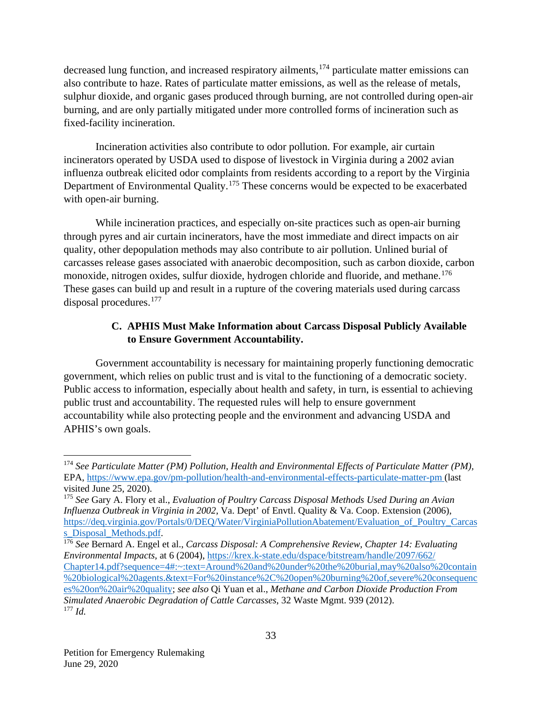decreased lung function, and increased respiratory ailments,<sup>[174](#page-33-0)</sup> particulate matter emissions can also contribute to haze. Rates of particulate matter emissions, as well as the release of metals, sulphur dioxide, and organic gases produced through burning, are not controlled during open-air burning, and are only partially mitigated under more controlled forms of incineration such as fixed-facility incineration.

Incineration activities also contribute to odor pollution. For example, air curtain incinerators operated by USDA used to dispose of livestock in Virginia during a 2002 avian influenza outbreak elicited odor complaints from residents according to a report by the Virginia Department of Environmental Quality.<sup>[175](#page-33-1)</sup> These concerns would be expected to be exacerbated with open-air burning.

While incineration practices, and especially on-site practices such as open-air burning through pyres and air curtain incinerators, have the most immediate and direct impacts on air quality, other depopulation methods may also contribute to air pollution. Unlined burial of carcasses release gases associated with anaerobic decomposition, such as carbon dioxide, carbon monoxide, nitrogen oxides, sulfur dioxide, hydrogen chloride and fluoride, and methane.<sup>[176](#page-33-2)</sup> These gases can build up and result in a rupture of the covering materials used during carcass disposal procedures.[177](#page-33-3)

# **C. APHIS Must Make Information about Carcass Disposal Publicly Available to Ensure Government Accountability.**

Government accountability is necessary for maintaining properly functioning democratic government, which relies on public trust and is vital to the functioning of a democratic society. Public access to information, especially about health and safety, in turn, is essential to achieving public trust and accountability. The requested rules will help to ensure government accountability while also protecting people and the environment and advancing USDA and APHIS's own goals.

<span id="page-33-0"></span> <sup>174</sup> *See Particulate Matter (PM) Pollution, Health and Environmental Effects of Particulate Matter (PM),* EPA,<https://www.epa.gov/pm-pollution/health-and-environmental-effects-particulate-matter-pm> (last visited June 25, 2020).

<span id="page-33-1"></span><sup>175</sup> *See* Gary A. Flory et al., *Evaluation of Poultry Carcass Disposal Methods Used During an Avian Influenza Outbreak in Virginia in 2002*, Va. Dept' of Envtl. Quality & Va. Coop. Extension (2006), https://deq.virginia.gov/Portals/0/DEO/Water/VirginiaPollutionAbatement/Evaluation of Poultry Carcas s Disposal Methods.pdf.

<span id="page-33-3"></span><span id="page-33-2"></span><sup>176</sup> *See* Bernard A. Engel et al., *Carcass Disposal: A Comprehensive Review, Chapter 14: Evaluating Environmental Impacts*, at 6 (200[4\), https://krex.k-state.edu/dspace/bitstream/handle/2097/662/](https://krex.k-state.edu/dspace/bitstream/handle/2097/662/Chapter14.pdf?sequence=4#:%7E:text=Around%20and%20under%20the%20burial,may%20also%20contain%20biological%20agents.&text=For%20instance%2C%20open%20burning%20of,severe%20consequences%20on%20air%20quality) [Chapter14.pdf?sequence=4#:~:text=Around%20and%20under%20the%20burial,may%20also%20contain](https://krex.k-state.edu/dspace/bitstream/handle/2097/662/Chapter14.pdf?sequence=4#:%7E:text=Around%20and%20under%20the%20burial,may%20also%20contain%20biological%20agents.&text=For%20instance%2C%20open%20burning%20of,severe%20consequences%20on%20air%20quality) [%20biological%20agents.&text=For%20instance%2C%20open%20burning%20of,severe%20consequenc](https://krex.k-state.edu/dspace/bitstream/handle/2097/662/Chapter14.pdf?sequence=4#:%7E:text=Around%20and%20under%20the%20burial,may%20also%20contain%20biological%20agents.&text=For%20instance%2C%20open%20burning%20of,severe%20consequences%20on%20air%20quality) [es%20on%20air%20quality;](https://krex.k-state.edu/dspace/bitstream/handle/2097/662/Chapter14.pdf?sequence=4#:%7E:text=Around%20and%20under%20the%20burial,may%20also%20contain%20biological%20agents.&text=For%20instance%2C%20open%20burning%20of,severe%20consequences%20on%20air%20quality) *see also* Qi Yuan et al., *Methane and Carbon Dioxide Production From Simulated Anaerobic Degradation of Cattle Carcasses*, 32 Waste Mgmt. 939 (2012). <sup>177</sup> *Id.*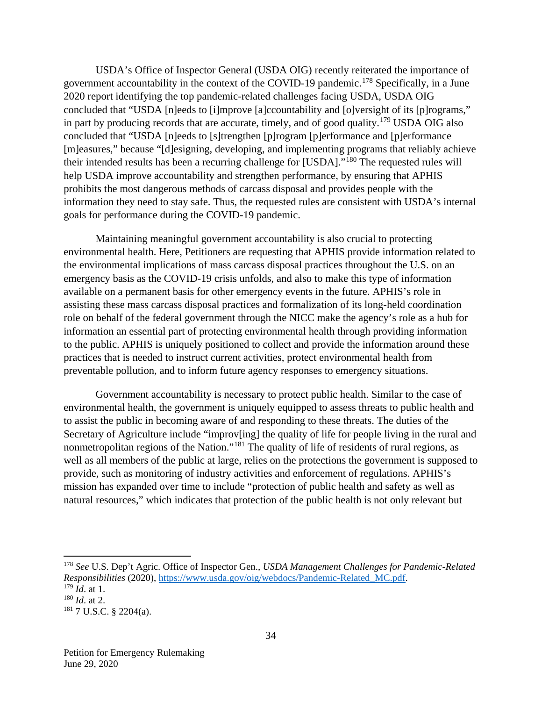USDA's Office of Inspector General (USDA OIG) recently reiterated the importance of government accountability in the context of the COVID-19 pandemic.<sup>[178](#page-34-0)</sup> Specifically, in a June 2020 report identifying the top pandemic-related challenges facing USDA, USDA OIG concluded that "USDA [n]eeds to [i]mprove [a]ccountability and [o]versight of its [p]rograms," in part by producing records that are accurate, timely, and of good quality.[179](#page-34-1) USDA OIG also concluded that "USDA [n]eeds to [s]trengthen [p]rogram [p]erformance and [p]erformance [m]easures," because "[d]esigning, developing, and implementing programs that reliably achieve their intended results has been a recurring challenge for [USDA]."[180](#page-34-2) The requested rules will help USDA improve accountability and strengthen performance, by ensuring that APHIS prohibits the most dangerous methods of carcass disposal and provides people with the information they need to stay safe. Thus, the requested rules are consistent with USDA's internal goals for performance during the COVID-19 pandemic.

Maintaining meaningful government accountability is also crucial to protecting environmental health. Here, Petitioners are requesting that APHIS provide information related to the environmental implications of mass carcass disposal practices throughout the U.S. on an emergency basis as the COVID-19 crisis unfolds, and also to make this type of information available on a permanent basis for other emergency events in the future. APHIS's role in assisting these mass carcass disposal practices and formalization of its long-held coordination role on behalf of the federal government through the NICC make the agency's role as a hub for information an essential part of protecting environmental health through providing information to the public. APHIS is uniquely positioned to collect and provide the information around these practices that is needed to instruct current activities, protect environmental health from preventable pollution, and to inform future agency responses to emergency situations.

Government accountability is necessary to protect public health. Similar to the case of environmental health, the government is uniquely equipped to assess threats to public health and to assist the public in becoming aware of and responding to these threats. The duties of the Secretary of Agriculture include "improveing] the quality of life for people living in the rural and nonmetropolitan regions of the Nation."[181](#page-34-3) The quality of life of residents of rural regions, as well as all members of the public at large, relies on the protections the government is supposed to provide, such as monitoring of industry activities and enforcement of regulations. APHIS's mission has expanded over time to include "protection of public health and safety as well as natural resources," which indicates that protection of the public health is not only relevant but

<span id="page-34-0"></span> <sup>178</sup> *See* U.S. Dep't Agric. Office of Inspector Gen., *USDA Management Challenges for Pandemic-Related Responsibilities* (2020), [https://www.usda.gov/oig/webdocs/Pandemic-Related\\_MC.pdf.](https://www.usda.gov/oig/webdocs/Pandemic-Related_MC.pdf) <sup>179</sup> *Id*. at 1.

<span id="page-34-2"></span><span id="page-34-1"></span><sup>180</sup> *Id*. at 2.

<span id="page-34-3"></span><sup>181</sup> 7 U.S.C. § 2204(a).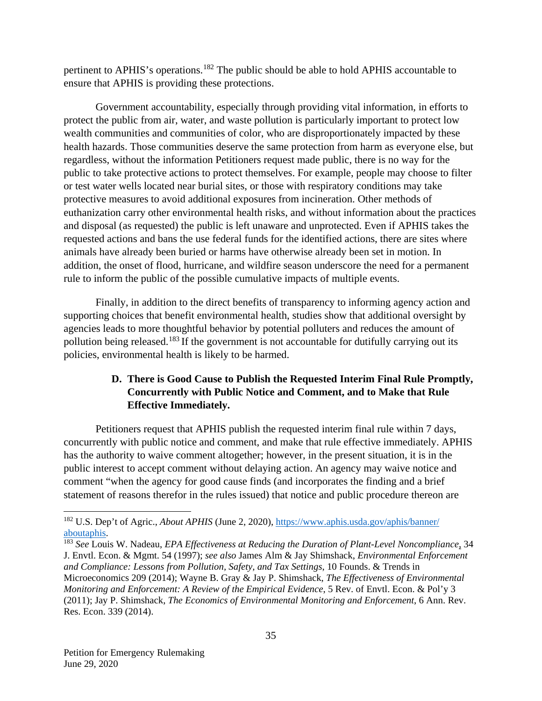pertinent to APHIS's operations.<sup>[182](#page-35-0)</sup> The public should be able to hold APHIS accountable to ensure that APHIS is providing these protections.

Government accountability, especially through providing vital information, in efforts to protect the public from air, water, and waste pollution is particularly important to protect low wealth communities and communities of color, who are disproportionately impacted by these health hazards. Those communities deserve the same protection from harm as everyone else, but regardless, without the information Petitioners request made public, there is no way for the public to take protective actions to protect themselves. For example, people may choose to filter or test water wells located near burial sites, or those with respiratory conditions may take protective measures to avoid additional exposures from incineration. Other methods of euthanization carry other environmental health risks, and without information about the practices and disposal (as requested) the public is left unaware and unprotected. Even if APHIS takes the requested actions and bans the use federal funds for the identified actions, there are sites where animals have already been buried or harms have otherwise already been set in motion. In addition, the onset of flood, hurricane, and wildfire season underscore the need for a permanent rule to inform the public of the possible cumulative impacts of multiple events.

Finally, in addition to the direct benefits of transparency to informing agency action and supporting choices that benefit environmental health, studies show that additional oversight by agencies leads to more thoughtful behavior by potential polluters and reduces the amount of pollution being released.[183](#page-35-1) If the government is not accountable for dutifully carrying out its policies, environmental health is likely to be harmed.

# **D. There is Good Cause to Publish the Requested Interim Final Rule Promptly, Concurrently with Public Notice and Comment, and to Make that Rule Effective Immediately.**

Petitioners request that APHIS publish the requested interim final rule within 7 days, concurrently with public notice and comment, and make that rule effective immediately. APHIS has the authority to waive comment altogether; however, in the present situation, it is in the public interest to accept comment without delaying action. An agency may waive notice and comment "when the agency for good cause finds (and incorporates the finding and a brief statement of reasons therefor in the rules issued) that notice and public procedure thereon are

<span id="page-35-0"></span><sup>&</sup>lt;sup>182</sup> U.S. Dep't of Agric., *About APHIS* (June 2, 2020), https://www.aphis.usda.gov/aphis/banner/ [aboutaphis.](https://www.aphis.usda.gov/aphis/banner/aboutaphis)

<span id="page-35-1"></span><sup>183</sup> *See* Louis W. Nadeau, *EPA Effectiveness at Reducing the Duration of Plant-Level Noncompliance*, 34 J. Envtl. Econ. & Mgmt. 54 (1997); *see also* James Alm & Jay Shimshack, *Environmental Enforcement and Compliance: Lessons from Pollution, Safety, and Tax Settings*, 10 Founds. & Trends in Microeconomics 209 (2014); Wayne B. Gray & Jay P. Shimshack, *The Effectiveness of Environmental Monitoring and Enforcement: A Review of the Empirical Evidence*, 5 Rev. of Envtl. Econ. & Pol'y 3 (2011); Jay P. Shimshack, *The Economics of Environmental Monitoring and Enforcement*, 6 Ann. Rev. Res. Econ. 339 (2014).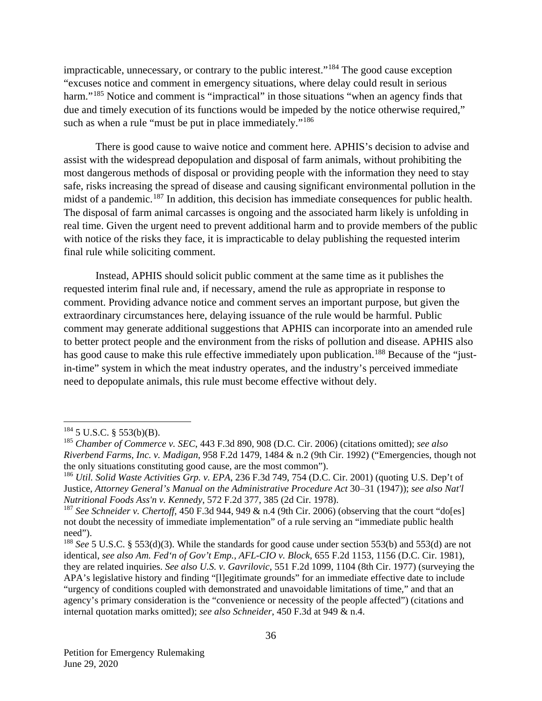impracticable, unnecessary, or contrary to the public interest."[184](#page-36-0) The good cause exception "excuses notice and comment in emergency situations, where delay could result in serious harm."<sup>[185](#page-36-1)</sup> Notice and comment is "impractical" in those situations "when an agency finds that due and timely execution of its functions would be impeded by the notice otherwise required," such as when a rule "must be put in place immediately."<sup>[186](#page-36-2)</sup>

There is good cause to waive notice and comment here. APHIS's decision to advise and assist with the widespread depopulation and disposal of farm animals, without prohibiting the most dangerous methods of disposal or providing people with the information they need to stay safe, risks increasing the spread of disease and causing significant environmental pollution in the midst of a pandemic.<sup>[187](#page-36-3)</sup> In addition, this decision has immediate consequences for public health. The disposal of farm animal carcasses is ongoing and the associated harm likely is unfolding in real time. Given the urgent need to prevent additional harm and to provide members of the public with notice of the risks they face, it is impracticable to delay publishing the requested interim final rule while soliciting comment.

Instead, APHIS should solicit public comment at the same time as it publishes the requested interim final rule and, if necessary, amend the rule as appropriate in response to comment. Providing advance notice and comment serves an important purpose, but given the extraordinary circumstances here, delaying issuance of the rule would be harmful. Public comment may generate additional suggestions that APHIS can incorporate into an amended rule to better protect people and the environment from the risks of pollution and disease. APHIS also has good cause to make this rule effective immediately upon publication.<sup>[188](#page-36-4)</sup> Because of the "justin-time" system in which the meat industry operates, and the industry's perceived immediate need to depopulate animals, this rule must become effective without dely.

<span id="page-36-0"></span> $184$  5 U.S.C. § 553(b)(B).

<span id="page-36-1"></span><sup>185</sup> *Chamber of Commerce v. SEC*, 443 F.3d 890, 908 (D.C. Cir. 2006) (citations omitted); *see also Riverbend Farms, Inc. v. Madigan*, 958 F.2d 1479, 1484 & n.2 (9th Cir. 1992) ("Emergencies, though not the only situations constituting good cause, are the most common").

<span id="page-36-2"></span><sup>186</sup> *Util. Solid Waste Activities Grp. v. EPA*, 236 F.3d 749, 754 (D.C. Cir. 2001) (quoting U.S. Dep't of Justice, *Attorney General's Manual on the Administrative Procedure Act* 30–31 (1947)); *see also Nat'l Nutritional Foods Ass'n v. Kennedy*, 572 F.2d 377, 385 (2d Cir. 1978).

<span id="page-36-3"></span><sup>&</sup>lt;sup>187</sup> See Schneider v. Chertoff, 450 F.3d 944, 949 & n.4 (9th Cir. 2006) (observing that the court "do[es] not doubt the necessity of immediate implementation" of a rule serving an "immediate public health need").

<span id="page-36-4"></span><sup>188</sup> *See* 5 U.S.C. § 553(d)(3). While the standards for good cause under section 553(b) and 553(d) are not identical, *see also Am. Fed'n of Gov't Emp., AFL-CIO v. Block*, 655 F.2d 1153, 1156 (D.C. Cir. 1981), they are related inquiries. *See also U.S. v. Gavrilovic*, 551 F.2d 1099, 1104 (8th Cir. 1977) (surveying the APA's legislative history and finding "[l]egitimate grounds" for an immediate effective date to include "urgency of conditions coupled with demonstrated and unavoidable limitations of time," and that an agency's primary consideration is the "convenience or necessity of the people affected") (citations and internal quotation marks omitted); *see also Schneider*, 450 F.3d at 949 & n.4.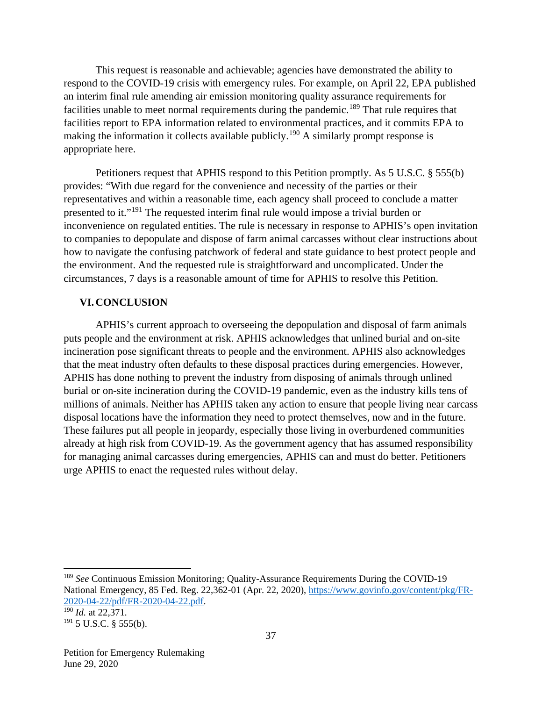This request is reasonable and achievable; agencies have demonstrated the ability to respond to the COVID-19 crisis with emergency rules. For example, on April 22, EPA published an interim final rule amending air emission monitoring quality assurance requirements for facilities unable to meet normal requirements during the pandemic.<sup>[189](#page-37-0)</sup> That rule requires that facilities report to EPA information related to environmental practices, and it commits EPA to making the information it collects available publicly.<sup>[190](#page-37-1)</sup> A similarly prompt response is appropriate here.

Petitioners request that APHIS respond to this Petition promptly. As 5 U.S.C. § 555(b) provides: "With due regard for the convenience and necessity of the parties or their representatives and within a reasonable time, each agency shall proceed to conclude a matter presented to it."[191](#page-37-2) The requested interim final rule would impose a trivial burden or inconvenience on regulated entities. The rule is necessary in response to APHIS's open invitation to companies to depopulate and dispose of farm animal carcasses without clear instructions about how to navigate the confusing patchwork of federal and state guidance to best protect people and the environment. And the requested rule is straightforward and uncomplicated. Under the circumstances, 7 days is a reasonable amount of time for APHIS to resolve this Petition.

#### **VI.CONCLUSION**

APHIS's current approach to overseeing the depopulation and disposal of farm animals puts people and the environment at risk. APHIS acknowledges that unlined burial and on-site incineration pose significant threats to people and the environment. APHIS also acknowledges that the meat industry often defaults to these disposal practices during emergencies. However, APHIS has done nothing to prevent the industry from disposing of animals through unlined burial or on-site incineration during the COVID-19 pandemic, even as the industry kills tens of millions of animals. Neither has APHIS taken any action to ensure that people living near carcass disposal locations have the information they need to protect themselves, now and in the future. These failures put all people in jeopardy, especially those living in overburdened communities already at high risk from COVID-19. As the government agency that has assumed responsibility for managing animal carcasses during emergencies, APHIS can and must do better. Petitioners urge APHIS to enact the requested rules without delay.

<span id="page-37-0"></span> <sup>189</sup> *See* Continuous Emission Monitoring; Quality-Assurance Requirements During the COVID-19 National Emergency, 85 Fed. Reg. 22,362-01 (Apr. 22, 2020), [https://www.govinfo.gov/content/pkg/FR-](https://www.govinfo.gov/content/pkg/FR-2020-04-22/pdf/FR-2020-04-22.pdf)[2020-04-22/pdf/FR-2020-04-22.pdf.](https://www.govinfo.gov/content/pkg/FR-2020-04-22/pdf/FR-2020-04-22.pdf) [190](https://www.govinfo.gov/content/pkg/FR-2020-04-22/pdf/FR-2020-04-22.pdf) *Id.* at 22,371*.*

<span id="page-37-2"></span><span id="page-37-1"></span> $191$  5 U.S.C. § 555(b).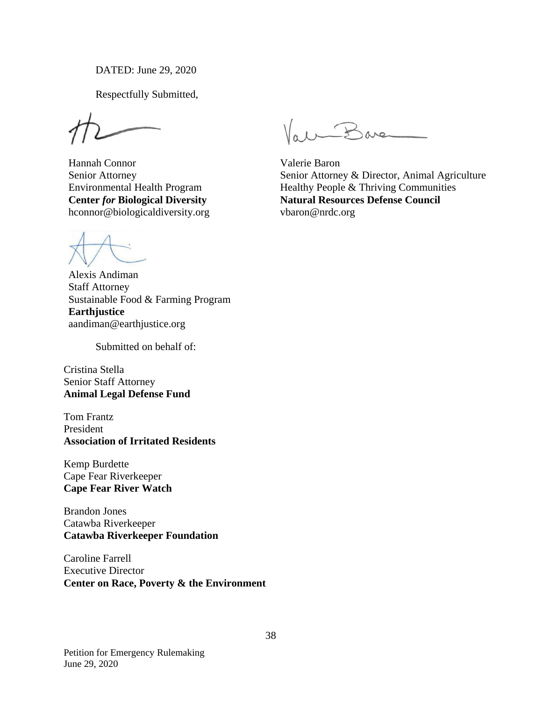DATED: June 29, 2020

Respectfully Submitted,

Hannah Connor Senior Attorney Environmental Health Program **Center** *for* **Biological Diversity** hconnor@biologicaldiversity.org

Alexis Andiman Staff Attorney Sustainable Food & Farming Program **Earthjustice**  aandiman@earthjustice.org

Submitted on behalf of:

Cristina Stella Senior Staff Attorney **Animal Legal Defense Fund**

Tom Frantz President **Association of Irritated Residents** 

Kemp Burdette Cape Fear Riverkeeper **Cape Fear River Watch**

Brandon Jones Catawba Riverkeeper **Catawba Riverkeeper Foundation** 

Caroline Farrell Executive Director **Center on Race, Poverty & the Environment**

Vall-Bare

Valerie Baron Senior Attorney & Director, Animal Agriculture Healthy People & Thriving Communities **Natural Resources Defense Council** vbaron@nrdc.org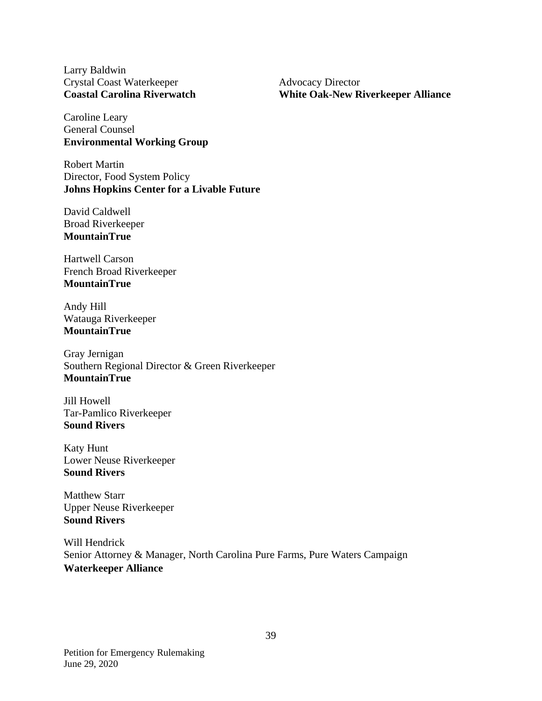Larry Baldwin Crystal Coast Waterkeeper **Coastal Carolina Riverwatch**

Advocacy Director **White Oak-New Riverkeeper Alliance**

Caroline Leary General Counsel **Environmental Working Group** 

Robert Martin Director, Food System Policy **Johns Hopkins Center for a Livable Future**

David Caldwell Broad Riverkeeper **MountainTrue**

Hartwell Carson French Broad Riverkeeper **MountainTrue**

Andy Hill Watauga Riverkeeper **MountainTrue**

Gray Jernigan Southern Regional Director & Green Riverkeeper **MountainTrue**

Jill Howell Tar-Pamlico Riverkeeper **Sound Rivers**

Katy Hunt Lower Neuse Riverkeeper **Sound Rivers**

Matthew Starr Upper Neuse Riverkeeper **Sound Rivers**

Will Hendrick Senior Attorney & Manager, North Carolina Pure Farms, Pure Waters Campaign **Waterkeeper Alliance**